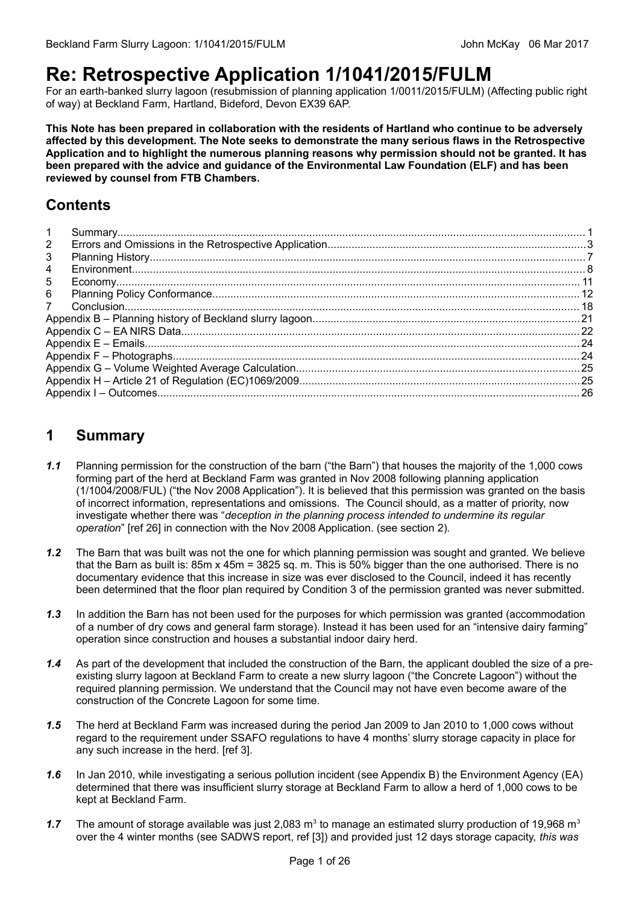# **Re: Retrospective Application 1/1041/2015/FULM**

For an earth-banked slurry lagoon (resubmission of planning application 1/0011/2015/FULM) (Affecting public right of way) at Beckland Farm, Hartland, Bideford, Devon EX39 6AP.

**This Note has been prepared in collaboration with the residents of Hartland who continue to be adversely affected by this development. The Note seeks to demonstrate the many serious flaws in the Retrospective Application and to highlight the numerous planning reasons why permission should not be granted. It has been prepared with the advice and guidance of the Environmental Law Foundation (ELF) and has been reviewed by counsel from FTB Chambers.**

## **Contents**

| $\mathbf{1}$ |  |  |
|--------------|--|--|
| 2            |  |  |
| 3            |  |  |
| 4            |  |  |
| 5            |  |  |
| 6            |  |  |
| $7^{\circ}$  |  |  |
|              |  |  |
|              |  |  |
|              |  |  |
|              |  |  |
|              |  |  |
|              |  |  |
|              |  |  |

# <span id="page-0-0"></span>**1 Summary**

- *1.1* Planning permission for the construction of the barn ("the Barn") that houses the majority of the 1,000 cows forming part of the herd at Beckland Farm was granted in Nov 2008 following planning application (1/1004/2008/FUL) ("the Nov 2008 Application"). It is believed that this permission was granted on the basis of incorrect information, representations and omissions. The Council should, as a matter of priority, now investigate whether there was "*deception in the planning process intended to undermine its regular operation*" [ref 26] in connection with the Nov 2008 Application. (see section 2).
- *1.2* The Barn that was built was not the one for which planning permission was sought and granted. We believe that the Barn as built is: 85m x 45m = 3825 sq. m. This is 50% bigger than the one authorised. There is no documentary evidence that this increase in size was ever disclosed to the Council, indeed it has recently been determined that the floor plan required by Condition 3 of the permission granted was never submitted.
- *1.3* In addition the Barn has not been used for the purposes for which permission was granted (accommodation of a number of dry cows and general farm storage). Instead it has been used for an "intensive dairy farming" operation since construction and houses a substantial indoor dairy herd.
- *1.4* As part of the development that included the construction of the Barn, the applicant doubled the size of a preexisting slurry lagoon at Beckland Farm to create a new slurry lagoon ("the Concrete Lagoon") without the required planning permission. We understand that the Council may not have even become aware of the construction of the Concrete Lagoon for some time.
- *1.5* The herd at Beckland Farm was increased during the period Jan 2009 to Jan 2010 to 1,000 cows without regard to the requirement under SSAFO regulations to have 4 months' slurry storage capacity in place for any such increase in the herd. [ref 3].
- *1.6* In Jan 2010, while investigating a serious pollution incident (see Appendix B) the Environment Agency (EA) determined that there was insufficient slurry storage at Beckland Farm to allow a herd of 1,000 cows to be kept at Beckland Farm.
- 1.7 The amount of storage available was just 2,083  $m<sup>3</sup>$  to manage an estimated slurry production of 19,968  $m<sup>3</sup>$ over the 4 winter months (see SADWS report, ref [3]) and provided just 12 days storage capacity, *this was*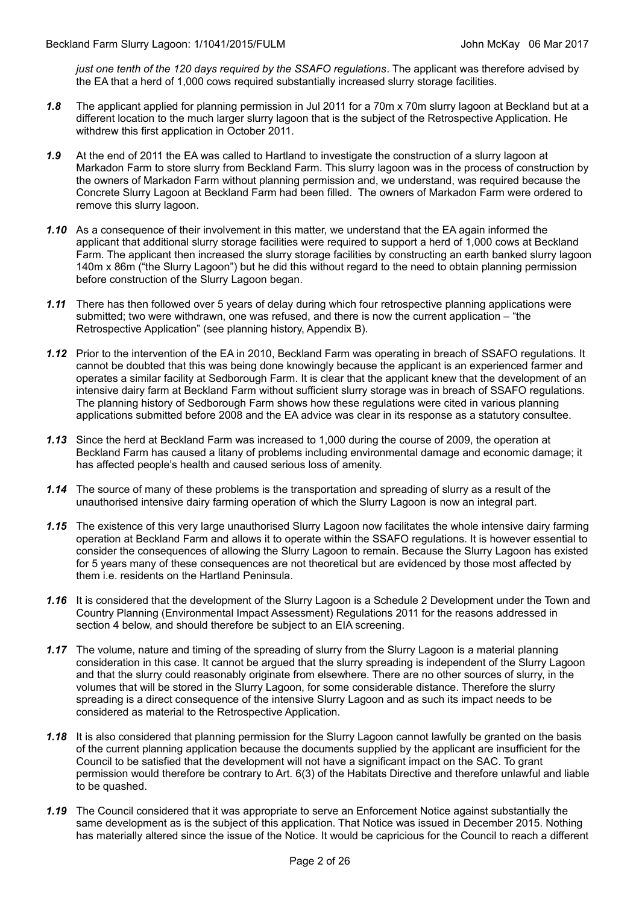*just one tenth of the 120 days required by the SSAFO regulations*. The applicant was therefore advised by the EA that a herd of 1,000 cows required substantially increased slurry storage facilities.

- *1.8* The applicant applied for planning permission in Jul 2011 for a 70m x 70m slurry lagoon at Beckland but at a different location to the much larger slurry lagoon that is the subject of the Retrospective Application. He withdrew this first application in October 2011.
- *1.9* At the end of 2011 the EA was called to Hartland to investigate the construction of a slurry lagoon at Markadon Farm to store slurry from Beckland Farm. This slurry lagoon was in the process of construction by the owners of Markadon Farm without planning permission and, we understand, was required because the Concrete Slurry Lagoon at Beckland Farm had been filled. The owners of Markadon Farm were ordered to remove this slurry lagoon.
- *1.10* As a consequence of their involvement in this matter, we understand that the EA again informed the applicant that additional slurry storage facilities were required to support a herd of 1,000 cows at Beckland Farm. The applicant then increased the slurry storage facilities by constructing an earth banked slurry lagoon 140m x 86m ("the Slurry Lagoon") but he did this without regard to the need to obtain planning permission before construction of the Slurry Lagoon began.
- *1.11* There has then followed over 5 years of delay during which four retrospective planning applications were submitted; two were withdrawn, one was refused, and there is now the current application – "the Retrospective Application" (see planning history, Appendix B).
- *1.12* Prior to the intervention of the EA in 2010, Beckland Farm was operating in breach of SSAFO regulations. It cannot be doubted that this was being done knowingly because the applicant is an experienced farmer and operates a similar facility at Sedborough Farm. It is clear that the applicant knew that the development of an intensive dairy farm at Beckland Farm without sufficient slurry storage was in breach of SSAFO regulations. The planning history of Sedborough Farm shows how these regulations were cited in various planning applications submitted before 2008 and the EA advice was clear in its response as a statutory consultee.
- *1.13* Since the herd at Beckland Farm was increased to 1,000 during the course of 2009, the operation at Beckland Farm has caused a litany of problems including environmental damage and economic damage; it has affected people's health and caused serious loss of amenity.
- *1.14* The source of many of these problems is the transportation and spreading of slurry as a result of the unauthorised intensive dairy farming operation of which the Slurry Lagoon is now an integral part.
- *1.15* The existence of this very large unauthorised Slurry Lagoon now facilitates the whole intensive dairy farming operation at Beckland Farm and allows it to operate within the SSAFO regulations. It is however essential to consider the consequences of allowing the Slurry Lagoon to remain. Because the Slurry Lagoon has existed for 5 years many of these consequences are not theoretical but are evidenced by those most affected by them i.e. residents on the Hartland Peninsula.
- *1.16* It is considered that the development of the Slurry Lagoon is a Schedule 2 Development under the Town and Country Planning (Environmental Impact Assessment) Regulations 2011 for the reasons addressed in section 4 below, and should therefore be subject to an EIA screening.
- *1.17* The volume, nature and timing of the spreading of slurry from the Slurry Lagoon is a material planning consideration in this case. It cannot be argued that the slurry spreading is independent of the Slurry Lagoon and that the slurry could reasonably originate from elsewhere. There are no other sources of slurry, in the volumes that will be stored in the Slurry Lagoon, for some considerable distance. Therefore the slurry spreading is a direct consequence of the intensive Slurry Lagoon and as such its impact needs to be considered as material to the Retrospective Application.
- *1.18* It is also considered that planning permission for the Slurry Lagoon cannot lawfully be granted on the basis of the current planning application because the documents supplied by the applicant are insufficient for the Council to be satisfied that the development will not have a significant impact on the SAC. To grant permission would therefore be contrary to Art. 6(3) of the Habitats Directive and therefore unlawful and liable to be quashed.
- *1.19* The Council considered that it was appropriate to serve an Enforcement Notice against substantially the same development as is the subject of this application. That Notice was issued in December 2015. Nothing has materially altered since the issue of the Notice. It would be capricious for the Council to reach a different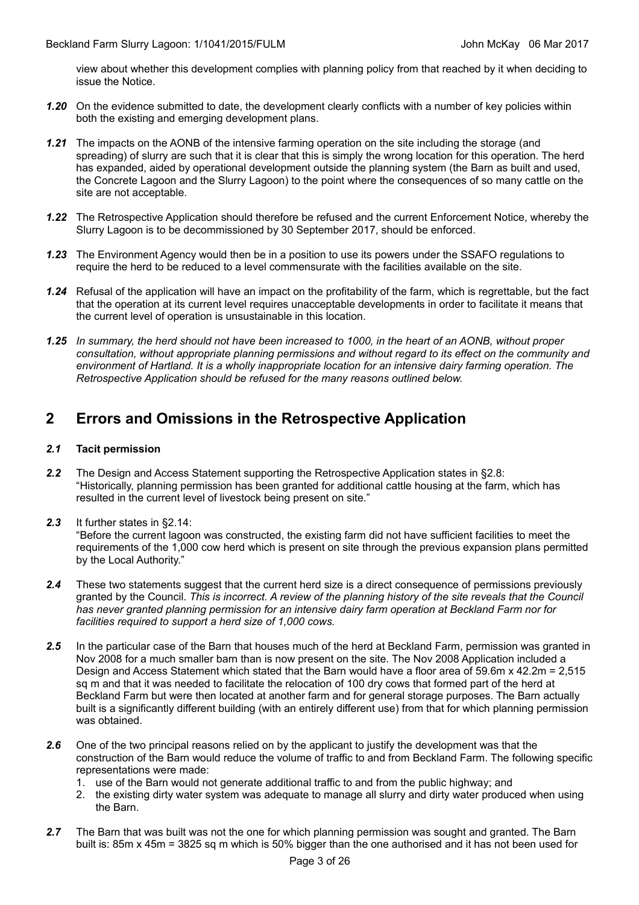view about whether this development complies with planning policy from that reached by it when deciding to issue the Notice.

- *1.20* On the evidence submitted to date, the development clearly conflicts with a number of key policies within both the existing and emerging development plans.
- *1.21* The impacts on the AONB of the intensive farming operation on the site including the storage (and spreading) of slurry are such that it is clear that this is simply the wrong location for this operation. The herd has expanded, aided by operational development outside the planning system (the Barn as built and used, the Concrete Lagoon and the Slurry Lagoon) to the point where the consequences of so many cattle on the site are not acceptable.
- *1.22* The Retrospective Application should therefore be refused and the current Enforcement Notice, whereby the Slurry Lagoon is to be decommissioned by 30 September 2017, should be enforced.
- *1.23* The Environment Agency would then be in a position to use its powers under the SSAFO regulations to require the herd to be reduced to a level commensurate with the facilities available on the site.
- *1.24* Refusal of the application will have an impact on the profitability of the farm, which is regrettable, but the fact that the operation at its current level requires unacceptable developments in order to facilitate it means that the current level of operation is unsustainable in this location.
- *1.25 In summary, the herd should not have been increased to 1000, in the heart of an AONB, without proper consultation, without appropriate planning permissions and without regard to its effect on the community and environment of Hartland. It is a wholly inappropriate location for an intensive dairy farming operation. The Retrospective Application should be refused for the many reasons outlined below.*

### <span id="page-2-0"></span>**2 Errors and Omissions in the Retrospective Application**

#### *2.1* **Tacit permission**

- **2.2** The Design and Access Statement supporting the Retrospective Application states in §2.8: "Historically, planning permission has been granted for additional cattle housing at the farm, which has resulted in the current level of livestock being present on site."
- *2.3* It further states in §2.14:

"Before the current lagoon was constructed, the existing farm did not have sufficient facilities to meet the requirements of the 1,000 cow herd which is present on site through the previous expansion plans permitted by the Local Authority."

- *2.4* These two statements suggest that the current herd size is a direct consequence of permissions previously granted by the Council. *This is incorrect. A review of the planning history of the site reveals that the Council has never granted planning permission for an intensive dairy farm operation at Beckland Farm nor for facilities required to support a herd size of 1,000 cows.*
- 2.5 In the particular case of the Barn that houses much of the herd at Beckland Farm, permission was granted in Nov 2008 for a much smaller barn than is now present on the site. The Nov 2008 Application included a Design and Access Statement which stated that the Barn would have a floor area of 59.6m x 42.2m = 2,515 sq m and that it was needed to facilitate the relocation of 100 dry cows that formed part of the herd at Beckland Farm but were then located at another farm and for general storage purposes. The Barn actually built is a significantly different building (with an entirely different use) from that for which planning permission was obtained.
- 2.6 One of the two principal reasons relied on by the applicant to justify the development was that the construction of the Barn would reduce the volume of traffic to and from Beckland Farm. The following specific representations were made:
	- 1. use of the Barn would not generate additional traffic to and from the public highway; and
	- 2. the existing dirty water system was adequate to manage all slurry and dirty water produced when using the Barn.
- *2.7* The Barn that was built was not the one for which planning permission was sought and granted. The Barn built is: 85m x 45m = 3825 sq m which is 50% bigger than the one authorised and it has not been used for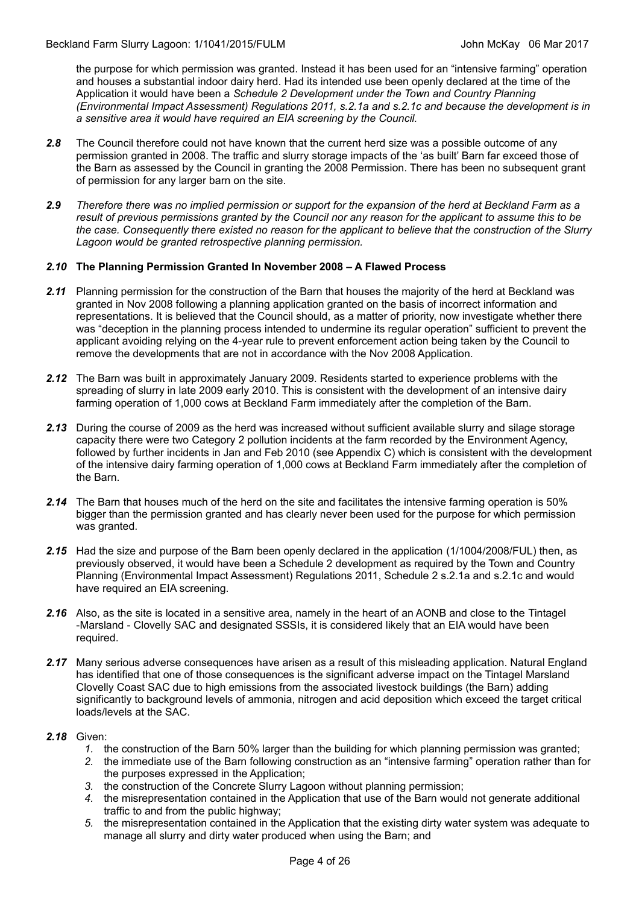the purpose for which permission was granted. Instead it has been used for an "intensive farming" operation and houses a substantial indoor dairy herd. Had its intended use been openly declared at the time of the Application it would have been a *Schedule 2 Development under the Town and Country Planning (Environmental Impact Assessment) Regulations 2011, s.2.1a and s.2.1c and because the development is in a sensitive area it would have required an EIA screening by the Council.*

- 2.8 The Council therefore could not have known that the current herd size was a possible outcome of any permission granted in 2008. The traffic and slurry storage impacts of the 'as built' Barn far exceed those of the Barn as assessed by the Council in granting the 2008 Permission. There has been no subsequent grant of permission for any larger barn on the site.
- *2.9 Therefore there was no implied permission or support for the expansion of the herd at Beckland Farm as a result of previous permissions granted by the Council nor any reason for the applicant to assume this to be the case. Consequently there existed no reason for the applicant to believe that the construction of the Slurry Lagoon would be granted retrospective planning permission.*

#### *2.10* **The Planning Permission Granted In November 2008 – A Flawed Process**

- 2.11 Planning permission for the construction of the Barn that houses the majority of the herd at Beckland was granted in Nov 2008 following a planning application granted on the basis of incorrect information and representations. It is believed that the Council should, as a matter of priority, now investigate whether there was "deception in the planning process intended to undermine its regular operation" sufficient to prevent the applicant avoiding relying on the 4-year rule to prevent enforcement action being taken by the Council to remove the developments that are not in accordance with the Nov 2008 Application.
- *2.12* The Barn was built in approximately January 2009. Residents started to experience problems with the spreading of slurry in late 2009 early 2010. This is consistent with the development of an intensive dairy farming operation of 1,000 cows at Beckland Farm immediately after the completion of the Barn.
- *2.13* During the course of 2009 as the herd was increased without sufficient available slurry and silage storage capacity there were two Category 2 pollution incidents at the farm recorded by the Environment Agency, followed by further incidents in Jan and Feb 2010 (see Appendix C) which is consistent with the development of the intensive dairy farming operation of 1,000 cows at Beckland Farm immediately after the completion of the Barn.
- *2.14* The Barn that houses much of the herd on the site and facilitates the intensive farming operation is 50% bigger than the permission granted and has clearly never been used for the purpose for which permission was granted.
- *2.15* Had the size and purpose of the Barn been openly declared in the application (1/1004/2008/FUL) then, as previously observed, it would have been a Schedule 2 development as required by the Town and Country Planning (Environmental Impact Assessment) Regulations 2011, Schedule 2 s.2.1a and s.2.1c and would have required an EIA screening.
- 2.16 Also, as the site is located in a sensitive area, namely in the heart of an AONB and close to the Tintagel -Marsland - Clovelly SAC and designated SSSIs, it is considered likely that an EIA would have been required.
- 2.17 Many serious adverse consequences have arisen as a result of this misleading application. Natural England has identified that one of those consequences is the significant adverse impact on the Tintagel Marsland Clovelly Coast SAC due to high emissions from the associated livestock buildings (the Barn) adding significantly to background levels of ammonia, nitrogen and acid deposition which exceed the target critical loads/levels at the SAC.

#### *2.18* Given:

- *1.* the construction of the Barn 50% larger than the building for which planning permission was granted;
- *2.* the immediate use of the Barn following construction as an "intensive farming" operation rather than for the purposes expressed in the Application;
- *3.* the construction of the Concrete Slurry Lagoon without planning permission;
- *4.* the misrepresentation contained in the Application that use of the Barn would not generate additional traffic to and from the public highway;
- *5.* the misrepresentation contained in the Application that the existing dirty water system was adequate to manage all slurry and dirty water produced when using the Barn; and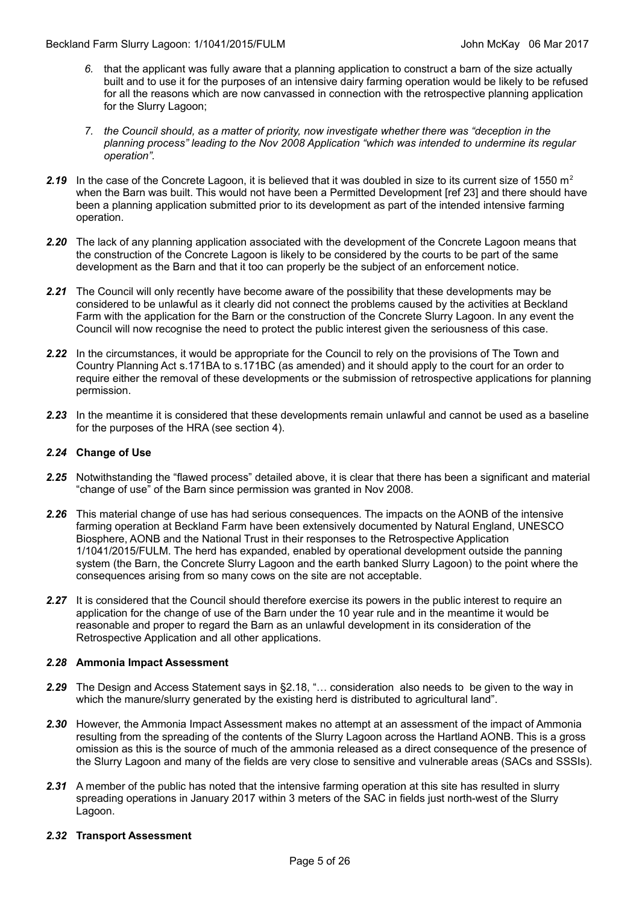- *6.* that the applicant was fully aware that a planning application to construct a barn of the size actually built and to use it for the purposes of an intensive dairy farming operation would be likely to be refused for all the reasons which are now canvassed in connection with the retrospective planning application for the Slurry Lagoon;
- *7. the Council should, as a matter of priority, now investigate whether there was "deception in the planning process" leading to the Nov 2008 Application "which was intended to undermine its regular operation".*
- 2.19 In the case of the Concrete Lagoon, it is believed that it was doubled in size to its current size of 1550 m<sup>2</sup> when the Barn was built. This would not have been a Permitted Development [ref 23] and there should have been a planning application submitted prior to its development as part of the intended intensive farming operation.
- 2.20 The lack of any planning application associated with the development of the Concrete Lagoon means that the construction of the Concrete Lagoon is likely to be considered by the courts to be part of the same development as the Barn and that it too can properly be the subject of an enforcement notice.
- 2.21 The Council will only recently have become aware of the possibility that these developments may be considered to be unlawful as it clearly did not connect the problems caused by the activities at Beckland Farm with the application for the Barn or the construction of the Concrete Slurry Lagoon. In any event the Council will now recognise the need to protect the public interest given the seriousness of this case.
- 2.22 In the circumstances, it would be appropriate for the Council to rely on the provisions of The Town and Country Planning Act s.171BA to s.171BC (as amended) and it should apply to the court for an order to require either the removal of these developments or the submission of retrospective applications for planning permission.
- *2.23* In the meantime it is considered that these developments remain unlawful and cannot be used as a baseline for the purposes of the HRA (see section 4).

#### *2.24* **Change of Use**

- *2.25* Notwithstanding the "flawed process" detailed above, it is clear that there has been a significant and material "change of use" of the Barn since permission was granted in Nov 2008.
- *2.26* This material change of use has had serious consequences. The impacts on the AONB of the intensive farming operation at Beckland Farm have been extensively documented by Natural England, UNESCO Biosphere, AONB and the National Trust in their responses to the Retrospective Application 1/1041/2015/FULM. The herd has expanded, enabled by operational development outside the panning system (the Barn, the Concrete Slurry Lagoon and the earth banked Slurry Lagoon) to the point where the consequences arising from so many cows on the site are not acceptable.
- 2.27 It is considered that the Council should therefore exercise its powers in the public interest to require an application for the change of use of the Barn under the 10 year rule and in the meantime it would be reasonable and proper to regard the Barn as an unlawful development in its consideration of the Retrospective Application and all other applications.

#### *2.28* **Ammonia Impact Assessment**

- *2.29* The Design and Access Statement says in §2.18, "… consideration also needs to be given to the way in which the manure/slurry generated by the existing herd is distributed to agricultural land".
- *2.30* However, the Ammonia Impact Assessment makes no attempt at an assessment of the impact of Ammonia resulting from the spreading of the contents of the Slurry Lagoon across the Hartland AONB. This is a gross omission as this is the source of much of the ammonia released as a direct consequence of the presence of the Slurry Lagoon and many of the fields are very close to sensitive and vulnerable areas (SACs and SSSIs).
- 2.31 A member of the public has noted that the intensive farming operation at this site has resulted in slurry spreading operations in January 2017 within 3 meters of the SAC in fields just north-west of the Slurry Lagoon.

#### *2.32* **Transport Assessment**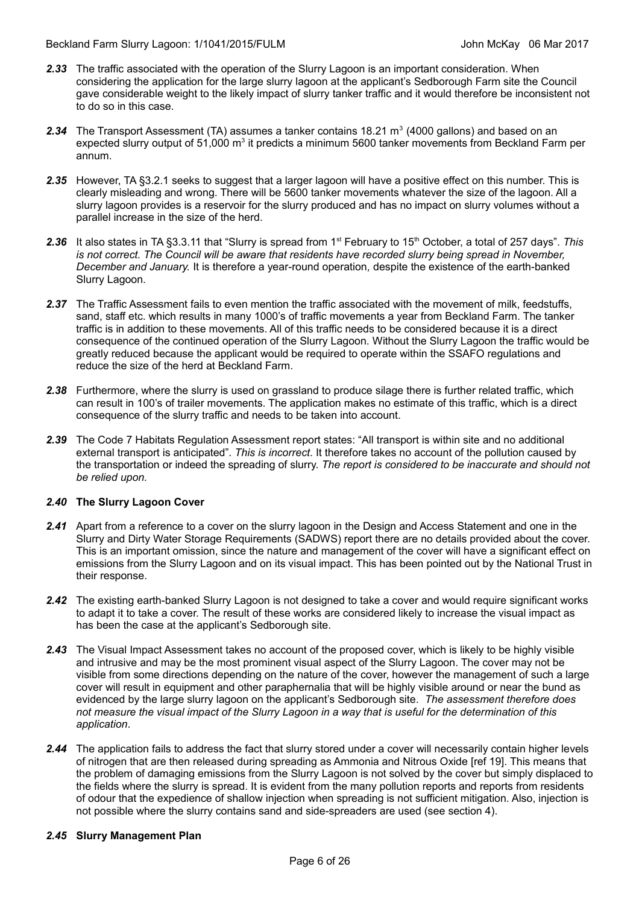- *2.33* The traffic associated with the operation of the Slurry Lagoon is an important consideration. When considering the application for the large slurry lagoon at the applicant's Sedborough Farm site the Council gave considerable weight to the likely impact of slurry tanker traffic and it would therefore be inconsistent not to do so in this case.
- **2.34** The Transport Assessment (TA) assumes a tanker contains 18.21 m<sup>3</sup> (4000 gallons) and based on an expected slurry output of 51,000  $\text{m}^3$  it predicts a minimum 5600 tanker movements from Beckland Farm per annum.
- 2.35 However, TA §3.2.1 seeks to suggest that a larger lagoon will have a positive effect on this number. This is clearly misleading and wrong. There will be 5600 tanker movements whatever the size of the lagoon. All a slurry lagoon provides is a reservoir for the slurry produced and has no impact on slurry volumes without a parallel increase in the size of the herd.
- 2.36 It also states in TA §3.3.11 that "Slurry is spread from 1<sup>st</sup> February to 15<sup>th</sup> October, a total of 257 days". This *is not correct. The Council will be aware that residents have recorded slurry being spread in November, December and January.* It is therefore a year-round operation*,* despite the existence of the earth-banked Slurry Lagoon.
- *2.37* The Traffic Assessment fails to even mention the traffic associated with the movement of milk, feedstuffs, sand, staff etc. which results in many 1000's of traffic movements a year from Beckland Farm. The tanker traffic is in addition to these movements. All of this traffic needs to be considered because it is a direct consequence of the continued operation of the Slurry Lagoon. Without the Slurry Lagoon the traffic would be greatly reduced because the applicant would be required to operate within the SSAFO regulations and reduce the size of the herd at Beckland Farm.
- *2.38* Furthermore, where the slurry is used on grassland to produce silage there is further related traffic, which can result in 100's of trailer movements. The application makes no estimate of this traffic, which is a direct consequence of the slurry traffic and needs to be taken into account.
- *2.39* The Code 7 Habitats Regulation Assessment report states: "All transport is within site and no additional external transport is anticipated". *This is incorrect*. It therefore takes no account of the pollution caused by the transportation or indeed the spreading of slurry. *The report is considered to be inaccurate and should not be relied upon.*

#### *2.40* **The Slurry Lagoon Cover**

- *2.41* Apart from a reference to a cover on the slurry lagoon in the Design and Access Statement and one in the Slurry and Dirty Water Storage Requirements (SADWS) report there are no details provided about the cover. This is an important omission, since the nature and management of the cover will have a significant effect on emissions from the Slurry Lagoon and on its visual impact. This has been pointed out by the National Trust in their response.
- 2.42 The existing earth-banked Slurry Lagoon is not designed to take a cover and would require significant works to adapt it to take a cover. The result of these works are considered likely to increase the visual impact as has been the case at the applicant's Sedborough site.
- *2.43* The Visual Impact Assessment takes no account of the proposed cover, which is likely to be highly visible and intrusive and may be the most prominent visual aspect of the Slurry Lagoon. The cover may not be visible from some directions depending on the nature of the cover, however the management of such a large cover will result in equipment and other paraphernalia that will be highly visible around or near the bund as evidenced by the large slurry lagoon on the applicant's Sedborough site. *The assessment therefore does not measure the visual impact of the Slurry Lagoon in a way that is useful for the determination of this application*.
- *2.44* The application fails to address the fact that slurry stored under a cover will necessarily contain higher levels of nitrogen that are then released during spreading as Ammonia and Nitrous Oxide [ref 19]. This means that the problem of damaging emissions from the Slurry Lagoon is not solved by the cover but simply displaced to the fields where the slurry is spread. It is evident from the many pollution reports and reports from residents of odour that the expedience of shallow injection when spreading is not sufficient mitigation. Also, injection is not possible where the slurry contains sand and side-spreaders are used (see section 4).

#### *2.45* **Slurry Management Plan**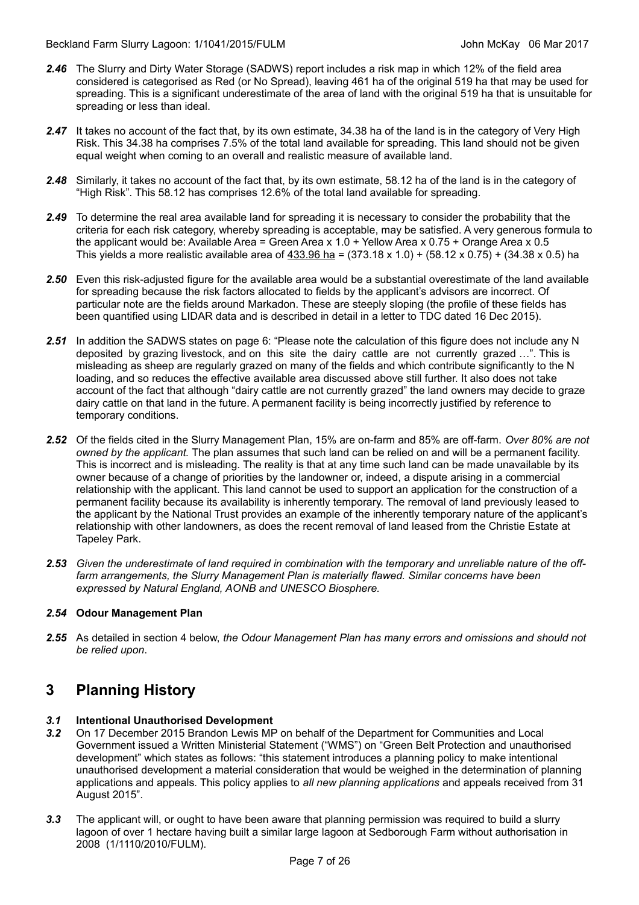- 2.46 The Slurry and Dirty Water Storage (SADWS) report includes a risk map in which 12% of the field area considered is categorised as Red (or No Spread), leaving 461 ha of the original 519 ha that may be used for spreading. This is a significant underestimate of the area of land with the original 519 ha that is unsuitable for spreading or less than ideal.
- 2.47 It takes no account of the fact that, by its own estimate, 34.38 ha of the land is in the category of Very High Risk. This 34.38 ha comprises 7.5% of the total land available for spreading. This land should not be given equal weight when coming to an overall and realistic measure of available land.
- *2.48* Similarly, it takes no account of the fact that, by its own estimate, 58.12 ha of the land is in the category of "High Risk". This 58.12 has comprises 12.6% of the total land available for spreading.
- *2.49* To determine the real area available land for spreading it is necessary to consider the probability that the criteria for each risk category, whereby spreading is acceptable, may be satisfied. A very generous formula to the applicant would be: Available Area = Green Area x 1.0 + Yellow Area x 0.75 + Orange Area x 0.5 This yields a more realistic available area of 433.96 ha =  $(373.18 \times 1.0) + (58.12 \times 0.75) + (34.38 \times 0.5)$  ha
- *2.50* Even this risk-adjusted figure for the available area would be a substantial overestimate of the land available for spreading because the risk factors allocated to fields by the applicant's advisors are incorrect. Of particular note are the fields around Markadon. These are steeply sloping (the profile of these fields has been quantified using LIDAR data and is described in detail in a letter to TDC dated 16 Dec 2015).
- *2.51* In addition the SADWS states on page 6: "Please note the calculation of this figure does not include any N deposited by grazing livestock, and on this site the dairy cattle are not currently grazed …". This is misleading as sheep are regularly grazed on many of the fields and which contribute significantly to the N loading, and so reduces the effective available area discussed above still further. It also does not take account of the fact that although "dairy cattle are not currently grazed" the land owners may decide to graze dairy cattle on that land in the future. A permanent facility is being incorrectly justified by reference to temporary conditions.
- *2.52* Of the fields cited in the Slurry Management Plan, 15% are on-farm and 85% are off-farm. *Over 80% are not owned by the applicant.* The plan assumes that such land can be relied on and will be a permanent facility. This is incorrect and is misleading. The reality is that at any time such land can be made unavailable by its owner because of a change of priorities by the landowner or, indeed, a dispute arising in a commercial relationship with the applicant. This land cannot be used to support an application for the construction of a permanent facility because its availability is inherently temporary. The removal of land previously leased to the applicant by the National Trust provides an example of the inherently temporary nature of the applicant's relationship with other landowners, as does the recent removal of land leased from the Christie Estate at Tapeley Park.
- *2.53 Given the underestimate of land required in combination with the temporary and unreliable nature of the offfarm arrangements, the Slurry Management Plan is materially flawed. Similar concerns have been expressed by Natural England, AONB and UNESCO Biosphere.*

#### *2.54* **Odour Management Plan**

*2.55* As detailed in section 4 below, *the Odour Management Plan has many errors and omissions and should not be relied upon*.

### <span id="page-6-0"></span>**3 Planning History**

#### *3.1* **Intentional Unauthorised Development**

- *3.2* On 17 December 2015 Brandon Lewis MP on behalf of the Department for Communities and Local Government issued a Written Ministerial Statement ("WMS") on "Green Belt Protection and unauthorised development" which states as follows: "this statement introduces a planning policy to make intentional unauthorised development a material consideration that would be weighed in the determination of planning applications and appeals. This policy applies to *all new planning applications* and appeals received from 31 August 2015".
- *3.3* The applicant will, or ought to have been aware that planning permission was required to build a slurry lagoon of over 1 hectare having built a similar large lagoon at Sedborough Farm without authorisation in 2008 (1/1110/2010/FULM).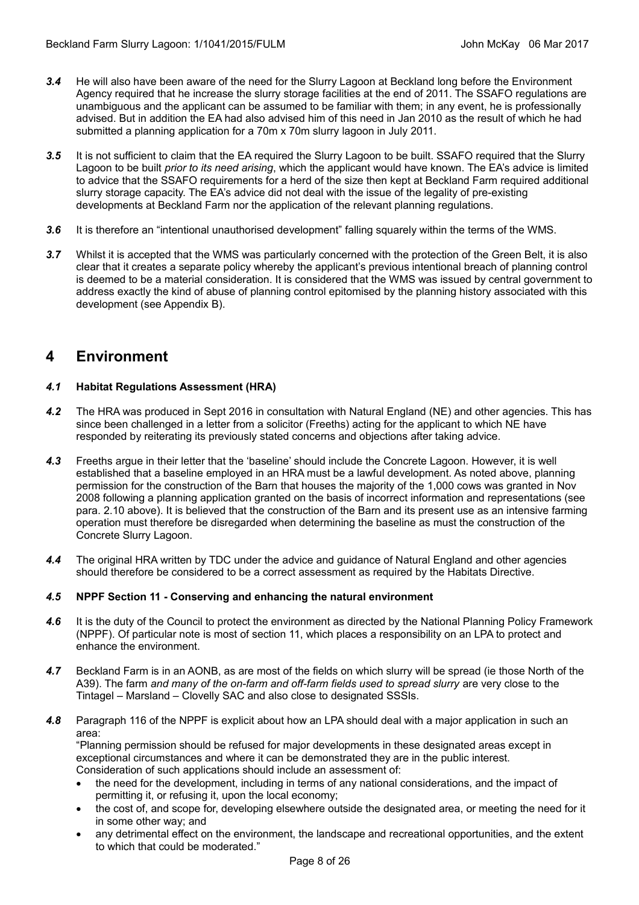- *3.4* He will also have been aware of the need for the Slurry Lagoon at Beckland long before the Environment Agency required that he increase the slurry storage facilities at the end of 2011. The SSAFO regulations are unambiguous and the applicant can be assumed to be familiar with them; in any event, he is professionally advised. But in addition the EA had also advised him of this need in Jan 2010 as the result of which he had submitted a planning application for a 70m x 70m slurry lagoon in July 2011.
- 3.5 It is not sufficient to claim that the EA required the Slurry Lagoon to be built. SSAFO required that the Slurry Lagoon to be built *prior to its need arising*, which the applicant would have known. The EA's advice is limited to advice that the SSAFO requirements for a herd of the size then kept at Beckland Farm required additional slurry storage capacity. The EA's advice did not deal with the issue of the legality of pre-existing developments at Beckland Farm nor the application of the relevant planning regulations.
- *3.6* It is therefore an "intentional unauthorised development" falling squarely within the terms of the WMS.
- *3.7* Whilst it is accepted that the WMS was particularly concerned with the protection of the Green Belt, it is also clear that it creates a separate policy whereby the applicant's previous intentional breach of planning control is deemed to be a material consideration. It is considered that the WMS was issued by central government to address exactly the kind of abuse of planning control epitomised by the planning history associated with this development (see Appendix B).

### <span id="page-7-0"></span>**4 Environment**

#### *4.1* **Habitat Regulations Assessment (HRA)**

- *4.2* The HRA was produced in Sept 2016 in consultation with Natural England (NE) and other agencies. This has since been challenged in a letter from a solicitor (Freeths) acting for the applicant to which NE have responded by reiterating its previously stated concerns and objections after taking advice.
- *4.3* Freeths argue in their letter that the 'baseline' should include the Concrete Lagoon. However, it is well established that a baseline employed in an HRA must be a lawful development. As noted above, planning permission for the construction of the Barn that houses the majority of the 1,000 cows was granted in Nov 2008 following a planning application granted on the basis of incorrect information and representations (see para. 2.10 above). It is believed that the construction of the Barn and its present use as an intensive farming operation must therefore be disregarded when determining the baseline as must the construction of the Concrete Slurry Lagoon.
- *4.4* The original HRA written by TDC under the advice and guidance of Natural England and other agencies should therefore be considered to be a correct assessment as required by the Habitats Directive.

#### *4.5* **NPPF Section 11 - Conserving and enhancing the natural environment**

- 4.6 It is the duty of the Council to protect the environment as directed by the National Planning Policy Framework (NPPF). Of particular note is most of section 11, which places a responsibility on an LPA to protect and enhance the environment.
- *4.7* Beckland Farm is in an AONB, as are most of the fields on which slurry will be spread (ie those North of the A39). The farm *and many of the on-farm and off-farm fields used to spread slurry* are very close to the Tintagel – Marsland – Clovelly SAC and also close to designated SSSIs.
- *4.8* Paragraph 116 of the NPPF is explicit about how an LPA should deal with a major application in such an area:

"Planning permission should be refused for major developments in these designated areas except in exceptional circumstances and where it can be demonstrated they are in the public interest. Consideration of such applications should include an assessment of:

- the need for the development, including in terms of any national considerations, and the impact of permitting it, or refusing it, upon the local economy;
- the cost of, and scope for, developing elsewhere outside the designated area, or meeting the need for it in some other way; and
- any detrimental effect on the environment, the landscape and recreational opportunities, and the extent to which that could be moderated."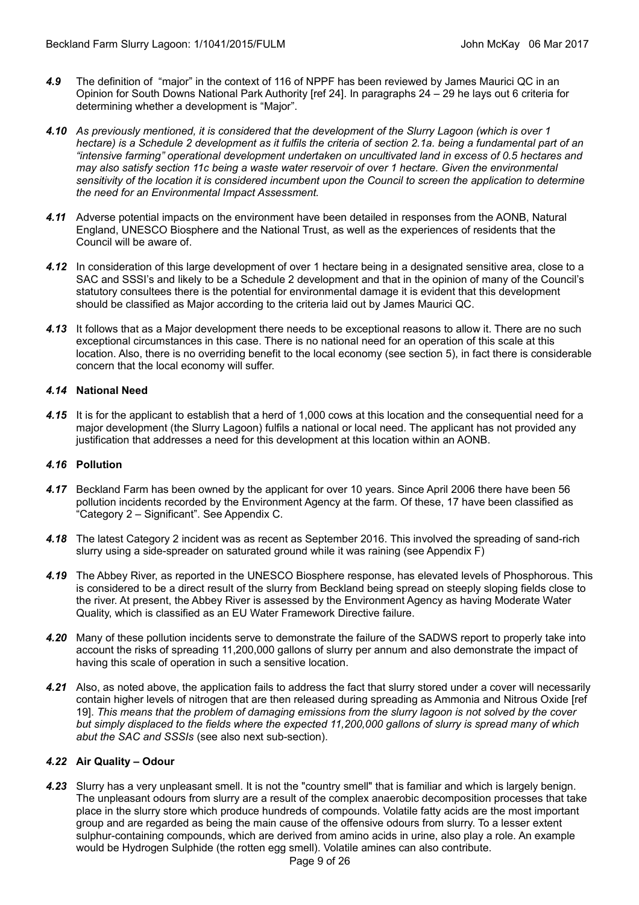- *4.9* The definition of "major" in the context of 116 of NPPF has been reviewed by James Maurici QC in an Opinion for South Downs National Park Authority [ref 24]. In paragraphs 24 – 29 he lays out 6 criteria for determining whether a development is "Major".
- *4.10 As previously mentioned, it is considered that the development of the Slurry Lagoon (which is over 1 hectare) is a Schedule 2 development as it fulfils the criteria of section 2.1a. being a fundamental part of an "intensive farming" operational development undertaken on uncultivated land in excess of 0.5 hectares and may also satisfy section 11c being a waste water reservoir of over 1 hectare. Given the environmental sensitivity of the location it is considered incumbent upon the Council to screen the application to determine the need for an Environmental Impact Assessment.*
- *4.11* Adverse potential impacts on the environment have been detailed in responses from the AONB, Natural England, UNESCO Biosphere and the National Trust, as well as the experiences of residents that the Council will be aware of.
- *4.12* In consideration of this large development of over 1 hectare being in a designated sensitive area, close to a SAC and SSSI's and likely to be a Schedule 2 development and that in the opinion of many of the Council's statutory consultees there is the potential for environmental damage it is evident that this development should be classified as Major according to the criteria laid out by James Maurici QC.
- *4.13* It follows that as a Major development there needs to be exceptional reasons to allow it. There are no such exceptional circumstances in this case. There is no national need for an operation of this scale at this location. Also, there is no overriding benefit to the local economy (see section 5), in fact there is considerable concern that the local economy will suffer.

#### *4.14* **National Need**

*4.15* It is for the applicant to establish that a herd of 1,000 cows at this location and the consequential need for a major development (the Slurry Lagoon) fulfils a national or local need. The applicant has not provided any justification that addresses a need for this development at this location within an AONB.

#### *4.16* **Pollution**

- *4.17* Beckland Farm has been owned by the applicant for over 10 years. Since April 2006 there have been 56 pollution incidents recorded by the Environment Agency at the farm. Of these, 17 have been classified as "Category 2 – Significant". See Appendix C.
- *4.18* The latest Category 2 incident was as recent as September 2016. This involved the spreading of sand-rich slurry using a side-spreader on saturated ground while it was raining (see Appendix F)
- *4.19* The Abbey River, as reported in the UNESCO Biosphere response, has elevated levels of Phosphorous. This is considered to be a direct result of the slurry from Beckland being spread on steeply sloping fields close to the river. At present, the Abbey River is assessed by the Environment Agency as having Moderate Water Quality, which is classified as an EU Water Framework Directive failure.
- *4.20* Many of these pollution incidents serve to demonstrate the failure of the SADWS report to properly take into account the risks of spreading 11,200,000 gallons of slurry per annum and also demonstrate the impact of having this scale of operation in such a sensitive location.
- *4.21* Also, as noted above, the application fails to address the fact that slurry stored under a cover will necessarily contain higher levels of nitrogen that are then released during spreading as Ammonia and Nitrous Oxide [ref 19]. *This means that the problem of damaging emissions from the slurry lagoon is not solved by the cover but simply displaced to the fields where the expected 11,200,000 gallons of slurry is spread many of which abut the SAC and SSSIs* (see also next sub-section).

#### *4.22* **Air Quality – Odour**

*4.23* Slurry has a very unpleasant smell. It is not the "country smell" that is familiar and which is largely benign. The unpleasant odours from slurry are a result of the complex anaerobic decomposition processes that take place in the slurry store which produce hundreds of compounds. Volatile fatty acids are the most important group and are regarded as being the main cause of the offensive odours from slurry. To a lesser extent sulphur-containing compounds, which are derived from amino acids in urine, also play a role. An example would be Hydrogen Sulphide (the rotten egg smell). Volatile amines can also contribute.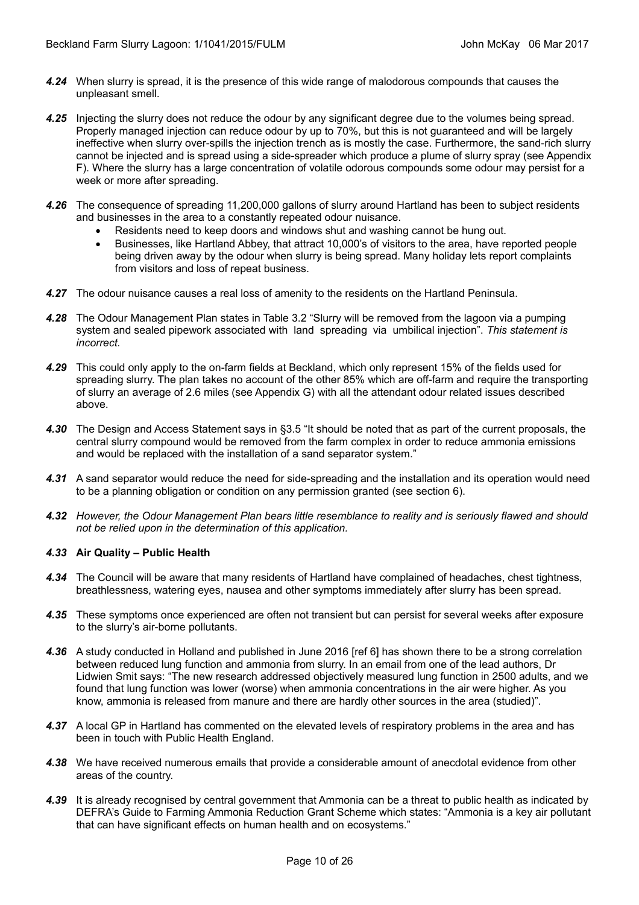- *4.24* When slurry is spread, it is the presence of this wide range of malodorous compounds that causes the unpleasant smell.
- *4.25* Injecting the slurry does not reduce the odour by any significant degree due to the volumes being spread. Properly managed injection can reduce odour by up to 70%, but this is not guaranteed and will be largely ineffective when slurry over-spills the injection trench as is mostly the case. Furthermore, the sand-rich slurry cannot be injected and is spread using a side-spreader which produce a plume of slurry spray (see Appendix F). Where the slurry has a large concentration of volatile odorous compounds some odour may persist for a week or more after spreading.
- *4.26* The consequence of spreading 11,200,000 gallons of slurry around Hartland has been to subject residents and businesses in the area to a constantly repeated odour nuisance.
	- Residents need to keep doors and windows shut and washing cannot be hung out.
	- Businesses, like Hartland Abbey, that attract 10,000's of visitors to the area, have reported people being driven away by the odour when slurry is being spread. Many holiday lets report complaints from visitors and loss of repeat business.
- *4.27* The odour nuisance causes a real loss of amenity to the residents on the Hartland Peninsula.
- *4.28* The Odour Management Plan states in Table 3.2 "Slurry will be removed from the lagoon via a pumping system and sealed pipework associated with land spreading via umbilical injection". *This statement is incorrect.*
- *4.29* This could only apply to the on-farm fields at Beckland, which only represent 15% of the fields used for spreading slurry. The plan takes no account of the other 85% which are off-farm and require the transporting of slurry an average of 2.6 miles (see Appendix G) with all the attendant odour related issues described above.
- *4.30* The Design and Access Statement says in §3.5 "It should be noted that as part of the current proposals, the central slurry compound would be removed from the farm complex in order to reduce ammonia emissions and would be replaced with the installation of a sand separator system."
- *4.31* A sand separator would reduce the need for side-spreading and the installation and its operation would need to be a planning obligation or condition on any permission granted (see section 6).
- *4.32 However, the Odour Management Plan bears little resemblance to reality and is seriously flawed and should not be relied upon in the determination of this application.*

#### *4.33* **Air Quality – Public Health**

- *4.34* The Council will be aware that many residents of Hartland have complained of headaches, chest tightness, breathlessness, watering eyes, nausea and other symptoms immediately after slurry has been spread.
- *4.35* These symptoms once experienced are often not transient but can persist for several weeks after exposure to the slurry's air-borne pollutants.
- *4.36* A study conducted in Holland and published in June 2016 [ref 6] has shown there to be a strong correlation between reduced lung function and ammonia from slurry. In an email from one of the lead authors, Dr Lidwien Smit says: "The new research addressed objectively measured lung function in 2500 adults, and we found that lung function was lower (worse) when ammonia concentrations in the air were higher. As you know, ammonia is released from manure and there are hardly other sources in the area (studied)".
- *4.37* A local GP in Hartland has commented on the elevated levels of respiratory problems in the area and has been in touch with Public Health England.
- *4.38* We have received numerous emails that provide a considerable amount of anecdotal evidence from other areas of the country.
- *4.39* It is already recognised by central government that Ammonia can be a threat to public health as indicated by DEFRA's Guide to Farming Ammonia Reduction Grant Scheme which states: "Ammonia is a key air pollutant that can have significant effects on human health and on ecosystems."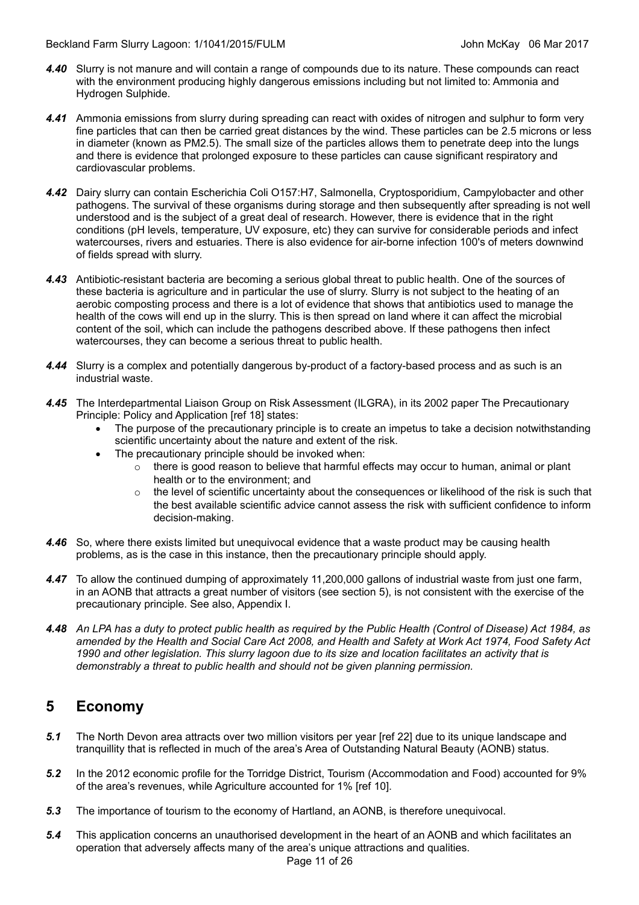- *4.40* Slurry is not manure and will contain a range of compounds due to its nature. These compounds can react with the environment producing highly dangerous emissions including but not limited to: Ammonia and Hydrogen Sulphide.
- *4.41* Ammonia emissions from slurry during spreading can react with oxides of nitrogen and sulphur to form very fine particles that can then be carried great distances by the wind. These particles can be 2.5 microns or less in diameter (known as PM2.5). The small size of the particles allows them to penetrate deep into the lungs and there is evidence that prolonged exposure to these particles can cause significant respiratory and cardiovascular problems.
- *4.42* Dairy slurry can contain Escherichia Coli O157:H7, Salmonella, Cryptosporidium, Campylobacter and other pathogens. The survival of these organisms during storage and then subsequently after spreading is not well understood and is the subject of a great deal of research. However, there is evidence that in the right conditions (pH levels, temperature, UV exposure, etc) they can survive for considerable periods and infect watercourses, rivers and estuaries. There is also evidence for air-borne infection 100's of meters downwind of fields spread with slurry.
- *4.43* Antibiotic-resistant bacteria are becoming a serious global threat to public health. One of the sources of these bacteria is agriculture and in particular the use of slurry. Slurry is not subject to the heating of an aerobic composting process and there is a lot of evidence that shows that antibiotics used to manage the health of the cows will end up in the slurry. This is then spread on land where it can affect the microbial content of the soil, which can include the pathogens described above. If these pathogens then infect watercourses, they can become a serious threat to public health.
- *4.44* Slurry is a complex and potentially dangerous by-product of a factory-based process and as such is an industrial waste.
- *4.45* The Interdepartmental Liaison Group on Risk Assessment (ILGRA), in its 2002 paper The Precautionary Principle: Policy and Application [ref 18] states:
	- The purpose of the precautionary principle is to create an impetus to take a decision notwithstanding scientific uncertainty about the nature and extent of the risk.
	- The precautionary principle should be invoked when:
		- $\circ$  there is good reason to believe that harmful effects may occur to human, animal or plant health or to the environment; and
		- $\circ$  the level of scientific uncertainty about the consequences or likelihood of the risk is such that the best available scientific advice cannot assess the risk with sufficient confidence to inform decision-making.
- *4.46* So, where there exists limited but unequivocal evidence that a waste product may be causing health problems, as is the case in this instance, then the precautionary principle should apply.
- *4.47* To allow the continued dumping of approximately 11,200,000 gallons of industrial waste from just one farm, in an AONB that attracts a great number of visitors (see section 5), is not consistent with the exercise of the precautionary principle. See also, Appendix I.
- *4.48 An LPA has a duty to protect public health as required by the Public Health (Control of Disease) Act 1984, as amended by the Health and Social Care Act 2008, and Health and Safety at Work Act 1974, Food Safety Act 1990 and other legislation. This slurry lagoon due to its size and location facilitates an activity that is demonstrably a threat to public health and should not be given planning permission.*

### <span id="page-10-0"></span>**5 Economy**

- *5.1* The North Devon area attracts over two million visitors per year [ref 22] due to its unique landscape and tranquillity that is reflected in much of the area's Area of Outstanding Natural Beauty (AONB) status.
- *5.2* In the 2012 economic profile for the Torridge District, Tourism (Accommodation and Food) accounted for 9% of the area's revenues, while Agriculture accounted for 1% [ref 10].
- *5.3* The importance of tourism to the economy of Hartland, an AONB, is therefore unequivocal.
- *5.4* This application concerns an unauthorised development in the heart of an AONB and which facilitates an operation that adversely affects many of the area's unique attractions and qualities.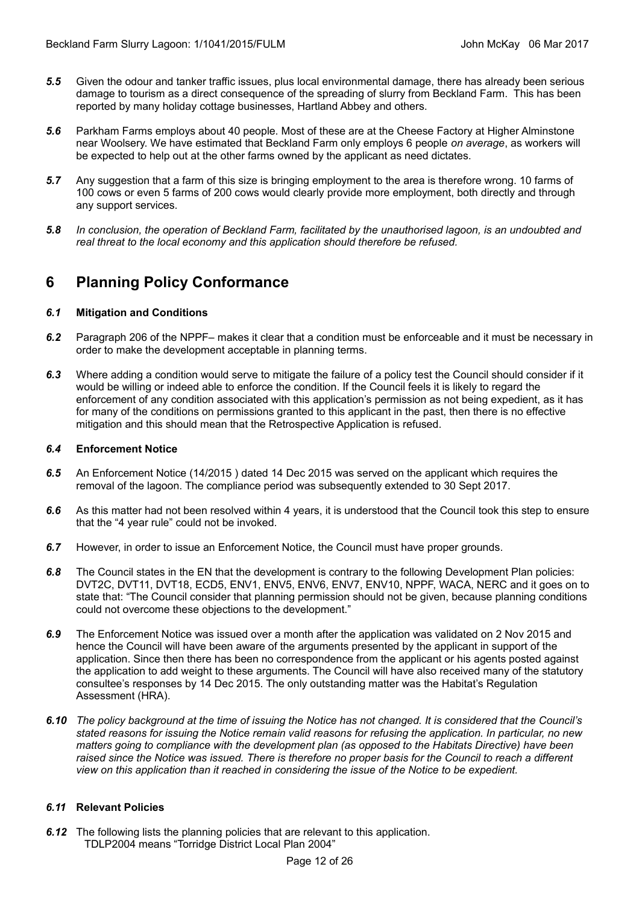- *5.5* Given the odour and tanker traffic issues, plus local environmental damage, there has already been serious damage to tourism as a direct consequence of the spreading of slurry from Beckland Farm. This has been reported by many holiday cottage businesses, Hartland Abbey and others.
- *5.6* Parkham Farms employs about 40 people. Most of these are at the Cheese Factory at Higher Alminstone near Woolsery. We have estimated that Beckland Farm only employs 6 people *on average*, as workers will be expected to help out at the other farms owned by the applicant as need dictates.
- *5.7* Any suggestion that a farm of this size is bringing employment to the area is therefore wrong. 10 farms of 100 cows or even 5 farms of 200 cows would clearly provide more employment, both directly and through any support services.
- *5.8 In conclusion, the operation of Beckland Farm, facilitated by the unauthorised lagoon, is an undoubted and real threat to the local economy and this application should therefore be refused.*

### <span id="page-11-0"></span>**6 Planning Policy Conformance**

#### *6.1* **Mitigation and Conditions**

- *6.2* Paragraph 206 of the NPPF– makes it clear that a condition must be enforceable and it must be necessary in order to make the development acceptable in planning terms.
- *6.3* Where adding a condition would serve to mitigate the failure of a policy test the Council should consider if it would be willing or indeed able to enforce the condition. If the Council feels it is likely to regard the enforcement of any condition associated with this application's permission as not being expedient, as it has for many of the conditions on permissions granted to this applicant in the past, then there is no effective mitigation and this should mean that the Retrospective Application is refused.

#### *6.4* **Enforcement Notice**

- *6.5* An Enforcement Notice (14/2015 ) dated 14 Dec 2015 was served on the applicant which requires the removal of the lagoon. The compliance period was subsequently extended to 30 Sept 2017.
- *6.6* As this matter had not been resolved within 4 years, it is understood that the Council took this step to ensure that the "4 year rule" could not be invoked.
- *6.7* However, in order to issue an Enforcement Notice, the Council must have proper grounds.
- *6.8* The Council states in the EN that the development is contrary to the following Development Plan policies: DVT2C, DVT11, DVT18, ECD5, ENV1, ENV5, ENV6, ENV7, ENV10, NPPF, WACA, NERC and it goes on to state that: "The Council consider that planning permission should not be given, because planning conditions could not overcome these objections to the development."
- *6.9* The Enforcement Notice was issued over a month after the application was validated on 2 Nov 2015 and hence the Council will have been aware of the arguments presented by the applicant in support of the application. Since then there has been no correspondence from the applicant or his agents posted against the application to add weight to these arguments. The Council will have also received many of the statutory consultee's responses by 14 Dec 2015. The only outstanding matter was the Habitat's Regulation Assessment (HRA).
- *6.10 The policy background at the time of issuing the Notice has not changed. It is considered that the Council's stated reasons for issuing the Notice remain valid reasons for refusing the application. In particular, no new matters going to compliance with the development plan (as opposed to the Habitats Directive) have been raised since the Notice was issued. There is therefore no proper basis for the Council to reach a different view on this application than it reached in considering the issue of the Notice to be expedient.*

#### *6.11* **Relevant Policies**

*6.12* The following lists the planning policies that are relevant to this application. TDLP2004 means "Torridge District Local Plan 2004"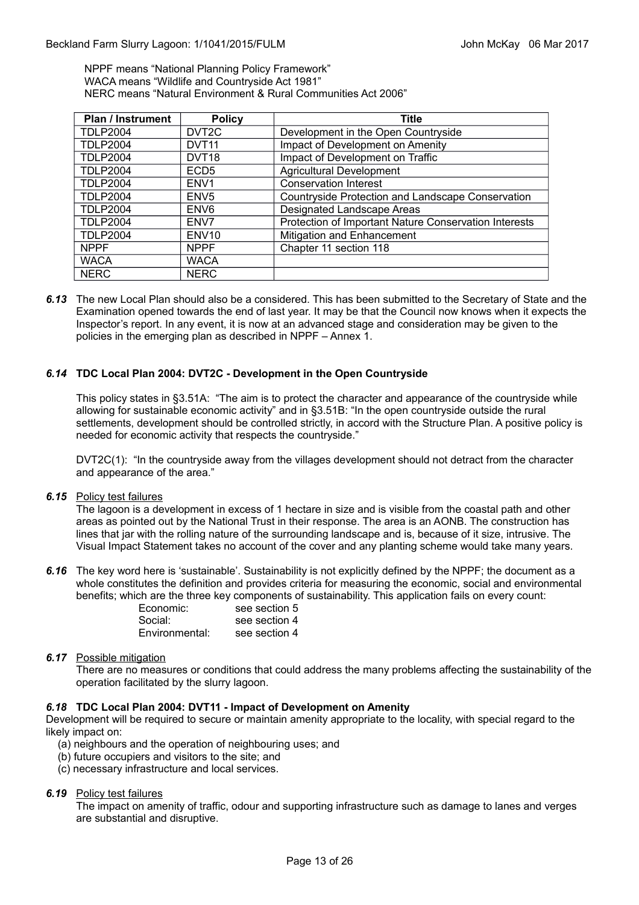NPPF means "National Planning Policy Framework" WACA means "Wildlife and Countryside Act 1981" NERC means "Natural Environment & Rural Communities Act 2006"

| <b>Plan / Instrument</b> | <b>Policy</b>      | <b>Title</b>                                          |  |
|--------------------------|--------------------|-------------------------------------------------------|--|
| <b>TDLP2004</b>          | DVT <sub>2</sub> C | Development in the Open Countryside                   |  |
| <b>TDLP2004</b>          | DVT <sub>11</sub>  | Impact of Development on Amenity                      |  |
| <b>TDLP2004</b>          | DVT18              | Impact of Development on Traffic                      |  |
| <b>TDLP2004</b>          | ECD <sub>5</sub>   | <b>Agricultural Development</b>                       |  |
| <b>TDLP2004</b>          | ENV <sub>1</sub>   | <b>Conservation Interest</b>                          |  |
| <b>TDLP2004</b>          | ENV <sub>5</sub>   | Countryside Protection and Landscape Conservation     |  |
| <b>TDLP2004</b>          | ENV <sub>6</sub>   | Designated Landscape Areas                            |  |
| <b>TDLP2004</b>          | ENV7               | Protection of Important Nature Conservation Interests |  |
| <b>TDLP2004</b>          | ENV <sub>10</sub>  | Mitigation and Enhancement                            |  |
| <b>NPPF</b>              | <b>NPPF</b>        | Chapter 11 section 118                                |  |
| <b>WACA</b>              | <b>WACA</b>        |                                                       |  |
| <b>NERC</b>              | <b>NERC</b>        |                                                       |  |

*6.13* The new Local Plan should also be a considered. This has been submitted to the Secretary of State and the Examination opened towards the end of last year. It may be that the Council now knows when it expects the Inspector's report. In any event, it is now at an advanced stage and consideration may be given to the policies in the emerging plan as described in NPPF – Annex 1.

#### *6.14* **TDC Local Plan 2004: DVT2C - Development in the Open Countryside**

This policy states in §3.51A: "The aim is to protect the character and appearance of the countryside while allowing for sustainable economic activity" and in §3.51B: "In the open countryside outside the rural settlements, development should be controlled strictly, in accord with the Structure Plan. A positive policy is needed for economic activity that respects the countryside."

DVT2C(1): "In the countryside away from the villages development should not detract from the character and appearance of the area."

*6.15* Policy test failures

The lagoon is a development in excess of 1 hectare in size and is visible from the coastal path and other areas as pointed out by the National Trust in their response. The area is an AONB. The construction has lines that jar with the rolling nature of the surrounding landscape and is, because of it size, intrusive. The Visual Impact Statement takes no account of the cover and any planting scheme would take many years.

*6.16* The key word here is 'sustainable'. Sustainability is not explicitly defined by the NPPF; the document as a whole constitutes the definition and provides criteria for measuring the economic, social and environmental benefits; which are the three key components of sustainability. This application fails on every count:

| Economic:      | see section 5 |
|----------------|---------------|
| Social:        | see section 4 |
| Environmental: | see section 4 |

*6.17* Possible mitigation

There are no measures or conditions that could address the many problems affecting the sustainability of the operation facilitated by the slurry lagoon.

#### *6.18* **TDC Local Plan 2004: DVT11 - Impact of Development on Amenity**

Development will be required to secure or maintain amenity appropriate to the locality, with special regard to the likely impact on:

- (a) neighbours and the operation of neighbouring uses; and
- (b) future occupiers and visitors to the site; and
- (c) necessary infrastructure and local services.

#### *6.19* Policy test failures

The impact on amenity of traffic, odour and supporting infrastructure such as damage to lanes and verges are substantial and disruptive.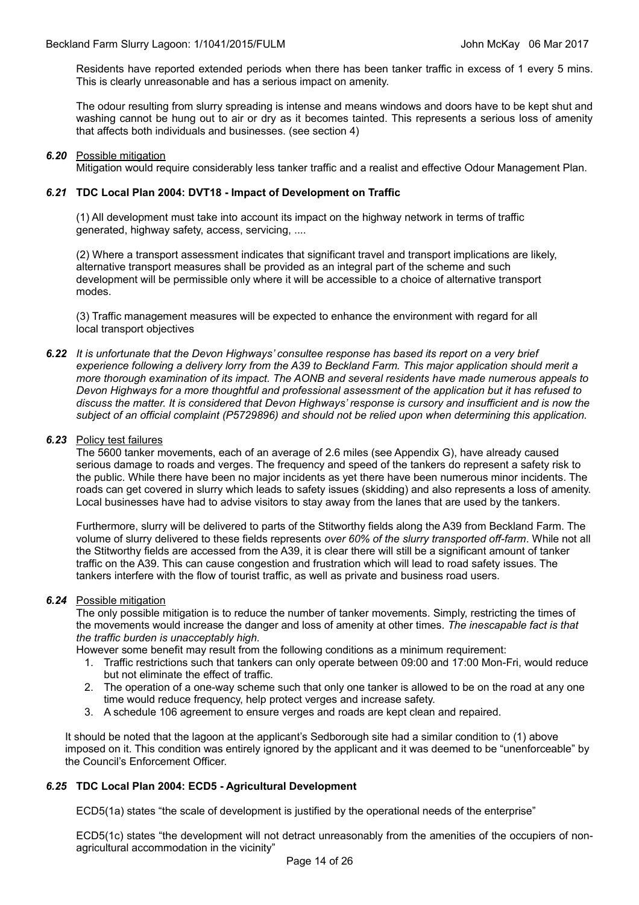Residents have reported extended periods when there has been tanker traffic in excess of 1 every 5 mins. This is clearly unreasonable and has a serious impact on amenity.

The odour resulting from slurry spreading is intense and means windows and doors have to be kept shut and washing cannot be hung out to air or dry as it becomes tainted. This represents a serious loss of amenity that affects both individuals and businesses. (see section 4)

#### *6.20* Possible mitigation

Mitigation would require considerably less tanker traffic and a realist and effective Odour Management Plan.

#### *6.21* **TDC Local Plan 2004: DVT18 - Impact of Development on Traffic**

(1) All development must take into account its impact on the highway network in terms of traffic generated, highway safety, access, servicing, ....

(2) Where a transport assessment indicates that significant travel and transport implications are likely, alternative transport measures shall be provided as an integral part of the scheme and such development will be permissible only where it will be accessible to a choice of alternative transport modes.

(3) Traffic management measures will be expected to enhance the environment with regard for all local transport objectives

*6.22 It is unfortunate that the Devon Highways' consultee response has based its report on a very brief experience following a delivery lorry from the A39 to Beckland Farm. This major application should merit a more thorough examination of its impact. The AONB and several residents have made numerous appeals to Devon Highways for a more thoughtful and professional assessment of the application but it has refused to discuss the matter. It is considered that Devon Highways' response is cursory and insufficient and is now the subject of an official complaint (P5729896) and should not be relied upon when determining this application.*

#### *6.23* Policy test failures

The 5600 tanker movements, each of an average of 2.6 miles (see Appendix G), have already caused serious damage to roads and verges. The frequency and speed of the tankers do represent a safety risk to the public. While there have been no major incidents as yet there have been numerous minor incidents. The roads can get covered in slurry which leads to safety issues (skidding) and also represents a loss of amenity. Local businesses have had to advise visitors to stay away from the lanes that are used by the tankers.

Furthermore, slurry will be delivered to parts of the Stitworthy fields along the A39 from Beckland Farm. The volume of slurry delivered to these fields represents *over 60% of the slurry transported off-farm*. While not all the Stitworthy fields are accessed from the A39, it is clear there will still be a significant amount of tanker traffic on the A39. This can cause congestion and frustration which will lead to road safety issues. The tankers interfere with the flow of tourist traffic, as well as private and business road users.

#### *6.24* Possible mitigation

The only possible mitigation is to reduce the number of tanker movements. Simply, restricting the times of the movements would increase the danger and loss of amenity at other times. *The inescapable fact is that the traffic burden is unacceptably high.*

However some benefit may result from the following conditions as a minimum requirement:

- 1. Traffic restrictions such that tankers can only operate between 09:00 and 17:00 Mon-Fri, would reduce but not eliminate the effect of traffic.
- 2. The operation of a one-way scheme such that only one tanker is allowed to be on the road at any one time would reduce frequency, help protect verges and increase safety.
- 3. A schedule 106 agreement to ensure verges and roads are kept clean and repaired.

It should be noted that the lagoon at the applicant's Sedborough site had a similar condition to (1) above imposed on it. This condition was entirely ignored by the applicant and it was deemed to be "unenforceable" by the Council's Enforcement Officer.

#### *6.25* **TDC Local Plan 2004: ECD5 - Agricultural Development**

ECD5(1a) states "the scale of development is justified by the operational needs of the enterprise"

ECD5(1c) states "the development will not detract unreasonably from the amenities of the occupiers of nonagricultural accommodation in the vicinity"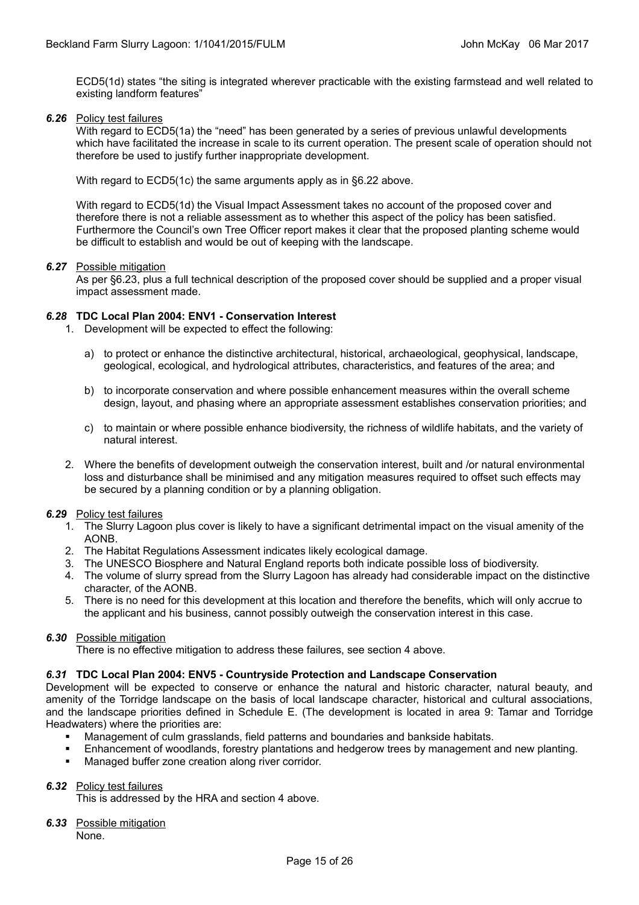ECD5(1d) states "the siting is integrated wherever practicable with the existing farmstead and well related to existing landform features"

#### *6.26* Policy test failures

With regard to ECD5(1a) the "need" has been generated by a series of previous unlawful developments which have facilitated the increase in scale to its current operation. The present scale of operation should not therefore be used to justify further inappropriate development.

With regard to ECD5(1c) the same arguments apply as in §6.22 above.

With regard to ECD5(1d) the Visual Impact Assessment takes no account of the proposed cover and therefore there is not a reliable assessment as to whether this aspect of the policy has been satisfied. Furthermore the Council's own Tree Officer report makes it clear that the proposed planting scheme would be difficult to establish and would be out of keeping with the landscape.

#### *6.27* Possible mitigation

As per §6.23, plus a full technical description of the proposed cover should be supplied and a proper visual impact assessment made.

#### *6.28* **TDC Local Plan 2004: ENV1 - Conservation Interest**

- 1. Development will be expected to effect the following:
	- a) to protect or enhance the distinctive architectural, historical, archaeological, geophysical, landscape, geological, ecological, and hydrological attributes, characteristics, and features of the area; and
	- b) to incorporate conservation and where possible enhancement measures within the overall scheme design, layout, and phasing where an appropriate assessment establishes conservation priorities; and
	- c) to maintain or where possible enhance biodiversity, the richness of wildlife habitats, and the variety of natural interest.
- 2. Where the benefits of development outweigh the conservation interest, built and /or natural environmental loss and disturbance shall be minimised and any mitigation measures required to offset such effects may be secured by a planning condition or by a planning obligation.

#### *6.29* Policy test failures

- 1. The Slurry Lagoon plus cover is likely to have a significant detrimental impact on the visual amenity of the AONB.
- 2. The Habitat Regulations Assessment indicates likely ecological damage.
- 3. The UNESCO Biosphere and Natural England reports both indicate possible loss of biodiversity.
- 4. The volume of slurry spread from the Slurry Lagoon has already had considerable impact on the distinctive character, of the AONB.
- 5. There is no need for this development at this location and therefore the benefits, which will only accrue to the applicant and his business, cannot possibly outweigh the conservation interest in this case.

#### *6.30* Possible mitigation

There is no effective mitigation to address these failures, see section 4 above.

#### *6.31* **TDC Local Plan 2004: ENV5 - Countryside Protection and Landscape Conservation**

Development will be expected to conserve or enhance the natural and historic character, natural beauty, and amenity of the Torridge landscape on the basis of local landscape character, historical and cultural associations, and the landscape priorities defined in Schedule E. (The development is located in area 9: Tamar and Torridge Headwaters) where the priorities are:

- Management of culm grasslands, field patterns and boundaries and bankside habitats.
- Enhancement of woodlands, forestry plantations and hedgerow trees by management and new planting.
- Managed buffer zone creation along river corridor.

#### *6.32* Policy test failures

This is addressed by the HRA and section 4 above.

*6.33* Possible mitigation

None.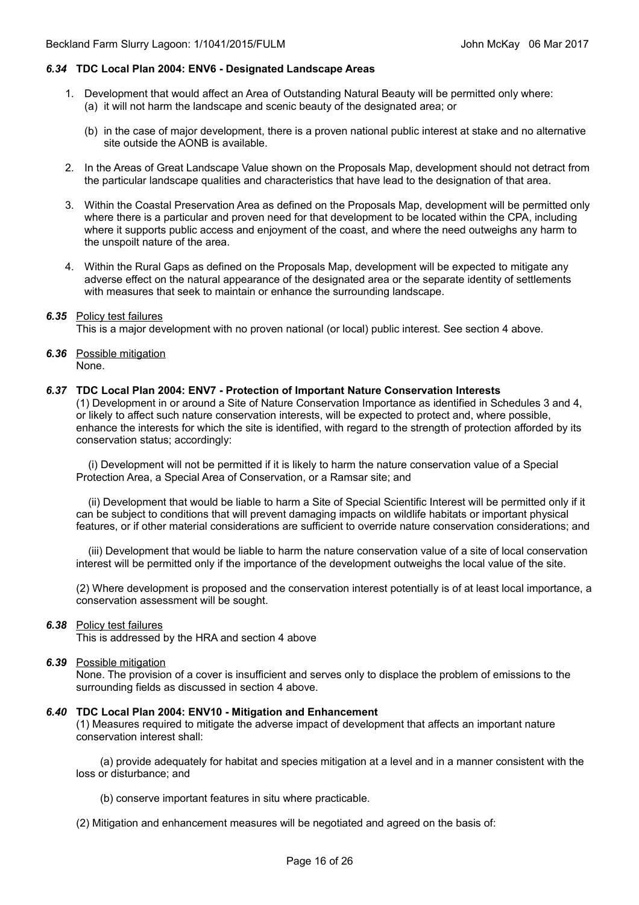#### *6.34* **TDC Local Plan 2004: ENV6 - Designated Landscape Areas**

- 1. Development that would affect an Area of Outstanding Natural Beauty will be permitted only where: (a) it will not harm the landscape and scenic beauty of the designated area; or
	- (b) in the case of major development, there is a proven national public interest at stake and no alternative site outside the AONB is available.
- 2. In the Areas of Great Landscape Value shown on the Proposals Map, development should not detract from the particular landscape qualities and characteristics that have lead to the designation of that area.
- 3. Within the Coastal Preservation Area as defined on the Proposals Map, development will be permitted only where there is a particular and proven need for that development to be located within the CPA, including where it supports public access and enjoyment of the coast, and where the need outweighs any harm to the unspoilt nature of the area.
- 4. Within the Rural Gaps as defined on the Proposals Map, development will be expected to mitigate any adverse effect on the natural appearance of the designated area or the separate identity of settlements with measures that seek to maintain or enhance the surrounding landscape.

#### *6.35* Policy test failures

This is a major development with no proven national (or local) public interest. See section 4 above.

*6.36* Possible mitigation None.

#### *6.37* **TDC Local Plan 2004: ENV7 - Protection of Important Nature Conservation Interests**

(1) Development in or around a Site of Nature Conservation Importance as identified in Schedules 3 and 4, or likely to affect such nature conservation interests, will be expected to protect and, where possible, enhance the interests for which the site is identified, with regard to the strength of protection afforded by its conservation status; accordingly:

 (i) Development will not be permitted if it is likely to harm the nature conservation value of a Special Protection Area, a Special Area of Conservation, or a Ramsar site; and

 (ii) Development that would be liable to harm a Site of Special Scientific Interest will be permitted only if it can be subject to conditions that will prevent damaging impacts on wildlife habitats or important physical features, or if other material considerations are sufficient to override nature conservation considerations; and

 (iii) Development that would be liable to harm the nature conservation value of a site of local conservation interest will be permitted only if the importance of the development outweighs the local value of the site.

(2) Where development is proposed and the conservation interest potentially is of at least local importance, a conservation assessment will be sought.

#### *6.38* Policy test failures

This is addressed by the HRA and section 4 above

#### *6.39* Possible mitigation

None. The provision of a cover is insufficient and serves only to displace the problem of emissions to the surrounding fields as discussed in section 4 above.

#### *6.40* **TDC Local Plan 2004: ENV10 - Mitigation and Enhancement**

(1) Measures required to mitigate the adverse impact of development that affects an important nature conservation interest shall:

 (a) provide adequately for habitat and species mitigation at a level and in a manner consistent with the loss or disturbance; and

- (b) conserve important features in situ where practicable.
- (2) Mitigation and enhancement measures will be negotiated and agreed on the basis of: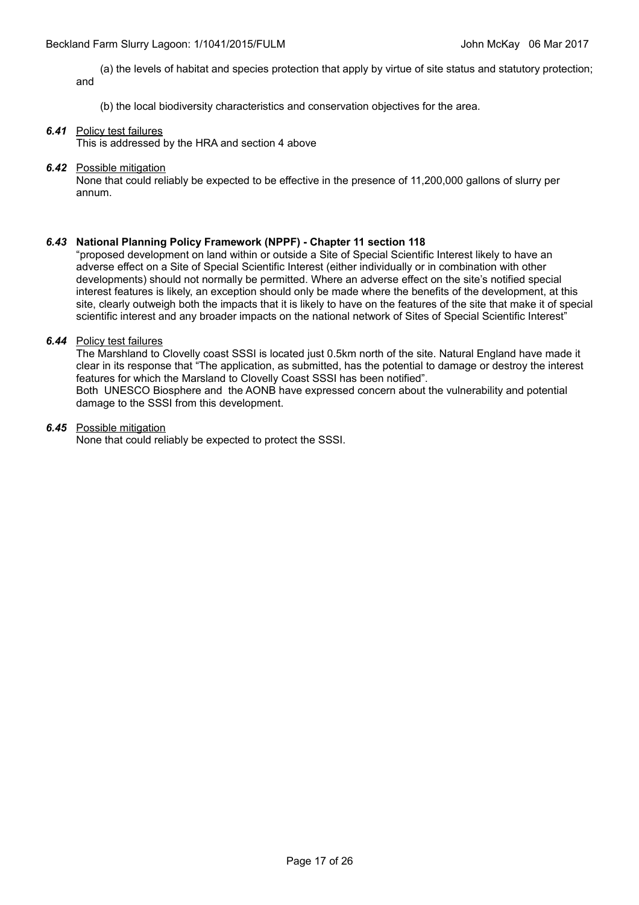(a) the levels of habitat and species protection that apply by virtue of site status and statutory protection; and

- (b) the local biodiversity characteristics and conservation objectives for the area.
- *6.41* Policy test failures

This is addressed by the HRA and section 4 above

*6.42* Possible mitigation

None that could reliably be expected to be effective in the presence of 11,200,000 gallons of slurry per annum.

#### *6.43* **National Planning Policy Framework (NPPF) - Chapter 11 section 118**

"proposed development on land within or outside a Site of Special Scientific Interest likely to have an adverse effect on a Site of Special Scientific Interest (either individually or in combination with other developments) should not normally be permitted. Where an adverse effect on the site's notified special interest features is likely, an exception should only be made where the benefits of the development, at this site, clearly outweigh both the impacts that it is likely to have on the features of the site that make it of special scientific interest and any broader impacts on the national network of Sites of Special Scientific Interest"

*6.44* Policy test failures

The Marshland to Clovelly coast SSSI is located just 0.5km north of the site. Natural England have made it clear in its response that "The application, as submitted, has the potential to damage or destroy the interest features for which the Marsland to Clovelly Coast SSSI has been notified". Both UNESCO Biosphere and the AONB have expressed concern about the vulnerability and potential damage to the SSSI from this development.

*6.45* Possible mitigation

None that could reliably be expected to protect the SSSI.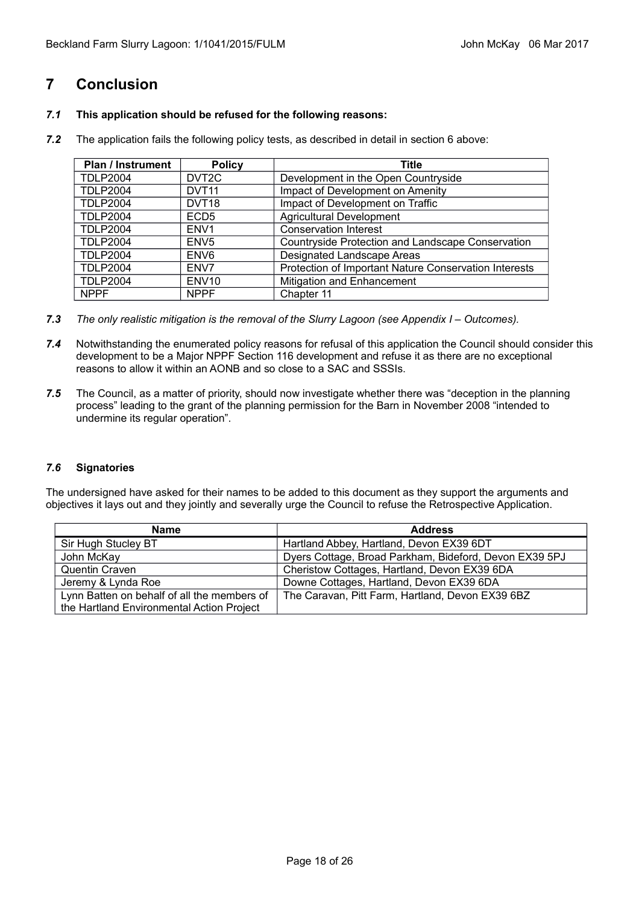### <span id="page-17-0"></span>**7 Conclusion**

#### *7.1* **This application should be refused for the following reasons:**

*7.2* The application fails the following policy tests, as described in detail in section 6 above:

| <b>Plan / Instrument</b> | <b>Policy</b>      | Title                                                 |  |
|--------------------------|--------------------|-------------------------------------------------------|--|
| <b>TDLP2004</b>          | DVT <sub>2</sub> C | Development in the Open Countryside                   |  |
| <b>TDLP2004</b>          | DVT <sub>11</sub>  | Impact of Development on Amenity                      |  |
| <b>TDLP2004</b>          | DVT18              | Impact of Development on Traffic                      |  |
| <b>TDLP2004</b>          | ECD <sub>5</sub>   | <b>Agricultural Development</b>                       |  |
| <b>TDLP2004</b>          | ENV <sub>1</sub>   | <b>Conservation Interest</b>                          |  |
| <b>TDLP2004</b>          | ENV <sub>5</sub>   | Countryside Protection and Landscape Conservation     |  |
| <b>TDLP2004</b>          | ENV <sub>6</sub>   | Designated Landscape Areas                            |  |
| <b>TDLP2004</b>          | ENV7               | Protection of Important Nature Conservation Interests |  |
| <b>TDLP2004</b>          | ENV <sub>10</sub>  | Mitigation and Enhancement                            |  |
| <b>NPPF</b>              | <b>NPPF</b>        | Chapter 11                                            |  |

- *7.3 The only realistic mitigation is the removal of the Slurry Lagoon (see Appendix I Outcomes).*
- *7.4* Notwithstanding the enumerated policy reasons for refusal of this application the Council should consider this development to be a Major NPPF Section 116 development and refuse it as there are no exceptional reasons to allow it within an AONB and so close to a SAC and SSSIs.
- *7.5* The Council, as a matter of priority, should now investigate whether there was "deception in the planning process" leading to the grant of the planning permission for the Barn in November 2008 "intended to undermine its regular operation".

#### *7.6* **Signatories**

The undersigned have asked for their names to be added to this document as they support the arguments and objectives it lays out and they jointly and severally urge the Council to refuse the Retrospective Application.

| Name                                        | <b>Address</b>                                         |  |
|---------------------------------------------|--------------------------------------------------------|--|
| Sir Hugh Stucley BT                         | Hartland Abbey, Hartland, Devon EX39 6DT               |  |
| John McKay                                  | Dyers Cottage, Broad Parkham, Bideford, Devon EX39 5PJ |  |
| Quentin Craven                              | Cheristow Cottages, Hartland, Devon EX39 6DA           |  |
| Jeremy & Lynda Roe                          | Downe Cottages, Hartland, Devon EX39 6DA               |  |
| Lynn Batten on behalf of all the members of | The Caravan, Pitt Farm, Hartland, Devon EX39 6BZ       |  |
| the Hartland Environmental Action Project   |                                                        |  |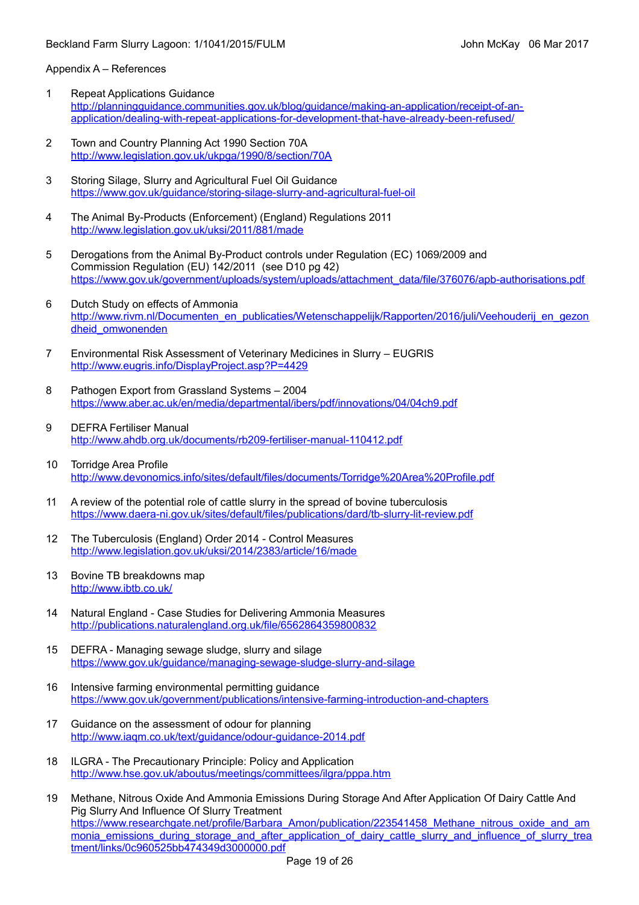Appendix A – References

- 1 Repeat Applications Guidance [http://planningguidance.communities.gov.uk/blog/guidance/making-an-application/receipt-of-an](http://planningguidance.communities.gov.uk/blog/guidance/making-an-application/receipt-of-an-application/dealing-with-repeat-applications-for-development-that-have-already-been-refused/)[application/dealing-with-repeat-applications-for-development-that-have-already-been-refused/](http://planningguidance.communities.gov.uk/blog/guidance/making-an-application/receipt-of-an-application/dealing-with-repeat-applications-for-development-that-have-already-been-refused/)
- 2 Town and Country Planning Act 1990 Section 70A <http://www.legislation.gov.uk/ukpga/1990/8/section/70A>
- 3 Storing Silage, Slurry and Agricultural Fuel Oil Guidance <https://www.gov.uk/guidance/storing-silage-slurry-and-agricultural-fuel-oil>
- 4 The Animal By-Products (Enforcement) (England) Regulations 2011 <http://www.legislation.gov.uk/uksi/2011/881/made>
- 5 Derogations from the Animal By-Product controls under Regulation (EC) 1069/2009 and Commission Regulation (EU) 142/2011 (see D10 pg 42) [https://www.gov.uk/government/uploads/system/uploads/attachment\\_data/file/376076/apb-authorisations.pdf](https://www.gov.uk/government/uploads/system/uploads/attachment_data/file/376076/apb-authorisations.pdf)
- 6 Dutch Study on effects of Ammonia [http://www.rivm.nl/Documenten\\_en\\_publicaties/Wetenschappelijk/Rapporten/2016/juli/Veehouderij\\_en\\_gezon](http://www.rivm.nl/Documenten_en_publicaties/Wetenschappelijk/Rapporten/2016/juli/Veehouderij_en_gezondheid_omwonenden) [dheid\\_omwonenden](http://www.rivm.nl/Documenten_en_publicaties/Wetenschappelijk/Rapporten/2016/juli/Veehouderij_en_gezondheid_omwonenden)
- 7 Environmental Risk Assessment of Veterinary Medicines in Slurry EUGRIS <http://www.eugris.info/DisplayProject.asp?P=4429>
- 8 Pathogen Export from Grassland Systems 2004 <https://www.aber.ac.uk/en/media/departmental/ibers/pdf/innovations/04/04ch9.pdf>
- 9 DEFRA Fertiliser Manual <http://www.ahdb.org.uk/documents/rb209-fertiliser-manual-110412.pdf>
- 10 Torridge Area Profile <http://www.devonomics.info/sites/default/files/documents/Torridge%20Area%20Profile.pdf>
- 11 A review of the potential role of cattle slurry in the spread of bovine tuberculosis <https://www.daera-ni.gov.uk/sites/default/files/publications/dard/tb-slurry-lit-review.pdf>
- 12 The Tuberculosis (England) Order 2014 Control Measures <http://www.legislation.gov.uk/uksi/2014/2383/article/16/made>
- 13 Bovine TB breakdowns map <http://www.ibtb.co.uk/>
- 14 Natural England Case Studies for Delivering Ammonia Measures <http://publications.naturalengland.org.uk/file/6562864359800832>
- 15 DEFRA Managing sewage sludge, slurry and silage <https://www.gov.uk/guidance/managing-sewage-sludge-slurry-and-silage>
- 16 Intensive farming environmental permitting guidance <https://www.gov.uk/government/publications/intensive-farming-introduction-and-chapters>
- 17 Guidance on the assessment of odour for planning <http://www.iaqm.co.uk/text/guidance/odour-guidance-2014.pdf>
- 18 ILGRA The Precautionary Principle: Policy and Application <http://www.hse.gov.uk/aboutus/meetings/committees/ilgra/pppa.htm>
- 19 Methane, Nitrous Oxide And Ammonia Emissions During Storage And After Application Of Dairy Cattle And Pig Slurry And Influence Of Slurry Treatment [https://www.researchgate.net/profile/Barbara\\_Amon/publication/223541458\\_Methane\\_nitrous\\_oxide\\_and\\_am](https://www.researchgate.net/profile/Barbara_Amon/publication/223541458_Methane_nitrous_oxide_and_ammonia_emissions_during_storage_and_after_application_of_dairy_cattle_slurry_and_influence_of_slurry_treatment/links/0c960525bb474349d3000000.pdf) [monia\\_emissions\\_during\\_storage\\_and\\_after\\_application\\_of\\_dairy\\_cattle\\_slurry\\_and\\_influence\\_of\\_slurry\\_trea](https://www.researchgate.net/profile/Barbara_Amon/publication/223541458_Methane_nitrous_oxide_and_ammonia_emissions_during_storage_and_after_application_of_dairy_cattle_slurry_and_influence_of_slurry_treatment/links/0c960525bb474349d3000000.pdf) [tment/links/0c960525bb474349d3000000.pdf](https://www.researchgate.net/profile/Barbara_Amon/publication/223541458_Methane_nitrous_oxide_and_ammonia_emissions_during_storage_and_after_application_of_dairy_cattle_slurry_and_influence_of_slurry_treatment/links/0c960525bb474349d3000000.pdf)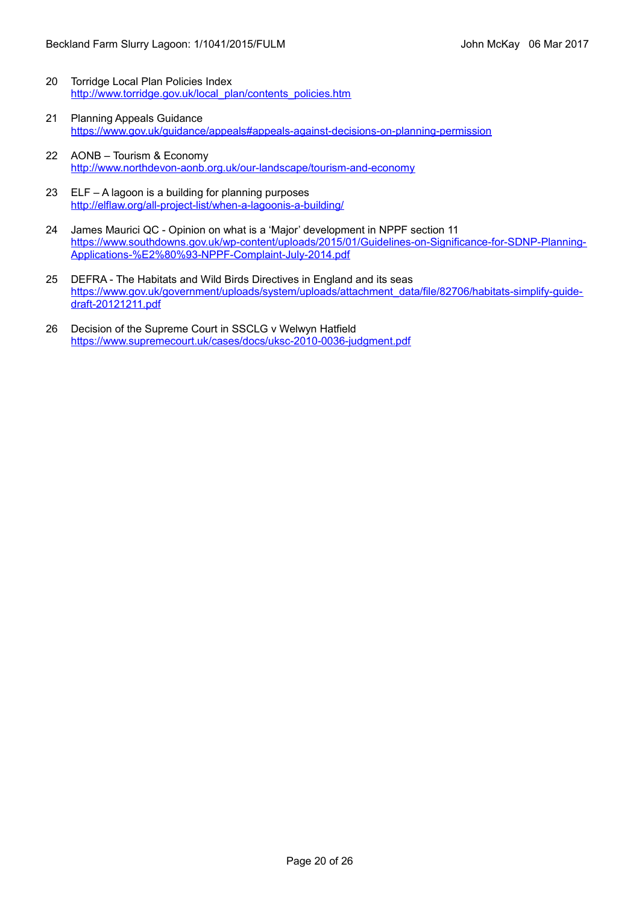- 20 Torridge Local Plan Policies Index [http://www.torridge.gov.uk/local\\_plan/contents\\_policies.htm](http://www.torridge.gov.uk/local_plan/contents_policies.htm)
- 21 Planning Appeals Guidance <https://www.gov.uk/guidance/appeals#appeals-against-decisions-on-planning-permission>
- 22 AONB Tourism & Economy <http://www.northdevon-aonb.org.uk/our-landscape/tourism-and-economy>
- 23 ELF A lagoon is a building for planning purposes <http://elflaw.org/all-project-list/when-a-lagoonis-a-building/>
- 24 James Maurici QC Opinion on what is a 'Major' development in NPPF section 11 [https://www.southdowns.gov.uk/wp-content/uploads/2015/01/Guidelines-on-Significance-for-SDNP-Planning-](https://www.southdowns.gov.uk/wp-content/uploads/2015/01/Guidelines-on-Significance-for-SDNP-Planning-Applications-%E2%80%93-NPPF-Complaint-July-2014.pdf)[Applications-%E2%80%93-NPPF-Complaint-July-2014.pdf](https://www.southdowns.gov.uk/wp-content/uploads/2015/01/Guidelines-on-Significance-for-SDNP-Planning-Applications-%E2%80%93-NPPF-Complaint-July-2014.pdf)
- 25 DEFRA The Habitats and Wild Birds Directives in England and its seas [https://www.gov.uk/government/uploads/system/uploads/attachment\\_data/file/82706/habitats-simplify-guide](https://www.gov.uk/government/uploads/system/uploads/attachment_data/file/82706/habitats-simplify-guide-draft-20121211.pdf)[draft-20121211.pdf](https://www.gov.uk/government/uploads/system/uploads/attachment_data/file/82706/habitats-simplify-guide-draft-20121211.pdf)
- 26 Decision of the Supreme Court in SSCLG v Welwyn Hatfield <https://www.supremecourt.uk/cases/docs/uksc-2010-0036-judgment.pdf>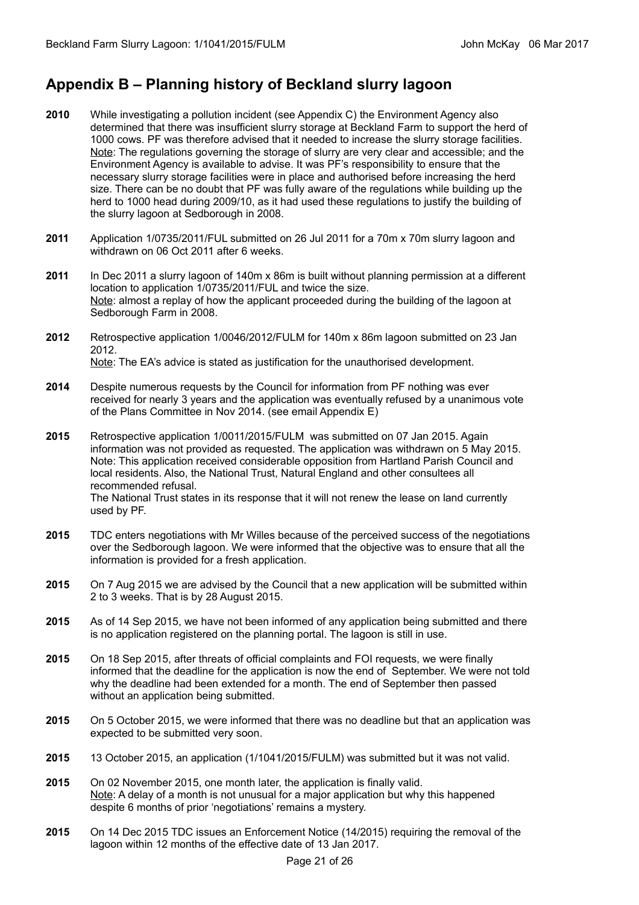### <span id="page-20-0"></span>**Appendix B – Planning history of Beckland slurry lagoon**

- **2010** While investigating a pollution incident (see Appendix C) the Environment Agency also determined that there was insufficient slurry storage at Beckland Farm to support the herd of 1000 cows. PF was therefore advised that it needed to increase the slurry storage facilities. Note: The regulations governing the storage of slurry are very clear and accessible; and the Environment Agency is available to advise. It was PF's responsibility to ensure that the necessary slurry storage facilities were in place and authorised before increasing the herd size. There can be no doubt that PF was fully aware of the regulations while building up the herd to 1000 head during 2009/10, as it had used these regulations to justify the building of the slurry lagoon at Sedborough in 2008.
- **2011** Application 1/0735/2011/FUL submitted on 26 Jul 2011 for a 70m x 70m slurry lagoon and withdrawn on 06 Oct 2011 after 6 weeks.
- **2011** In Dec 2011 a slurry lagoon of 140m x 86m is built without planning permission at a different location to application 1/0735/2011/FUL and twice the size. Note: almost a replay of how the applicant proceeded during the building of the lagoon at Sedborough Farm in 2008.
- **2012** Retrospective application 1/0046/2012/FULM for 140m x 86m lagoon submitted on 23 Jan 2012. Note: The EA's advice is stated as justification for the unauthorised development.
- **2014** Despite numerous requests by the Council for information from PF nothing was ever received for nearly 3 years and the application was eventually refused by a unanimous vote of the Plans Committee in Nov 2014. (see email Appendix E)
- **2015** Retrospective application 1/0011/2015/FULM was submitted on 07 Jan 2015. Again information was not provided as requested. The application was withdrawn on 5 May 2015. Note: This application received considerable opposition from Hartland Parish Council and local residents. Also, the National Trust, Natural England and other consultees all recommended refusal. The National Trust states in its response that it will not renew the lease on land currently used by PF.
- **2015** TDC enters negotiations with Mr Willes because of the perceived success of the negotiations over the Sedborough lagoon. We were informed that the objective was to ensure that all the information is provided for a fresh application.
- **2015** On 7 Aug 2015 we are advised by the Council that a new application will be submitted within 2 to 3 weeks. That is by 28 August 2015.
- **2015** As of 14 Sep 2015, we have not been informed of any application being submitted and there is no application registered on the planning portal. The lagoon is still in use.
- **2015** On 18 Sep 2015, after threats of official complaints and FOI requests, we were finally informed that the deadline for the application is now the end of September. We were not told why the deadline had been extended for a month. The end of September then passed without an application being submitted.
- **2015** On 5 October 2015, we were informed that there was no deadline but that an application was expected to be submitted very soon.
- **2015** 13 October 2015, an application (1/1041/2015/FULM) was submitted but it was not valid.
- **2015** On 02 November 2015, one month later, the application is finally valid. Note: A delay of a month is not unusual for a major application but why this happened despite 6 months of prior 'negotiations' remains a mystery.
- **2015** On 14 Dec 2015 TDC issues an Enforcement Notice (14/2015) requiring the removal of the lagoon within 12 months of the effective date of 13 Jan 2017.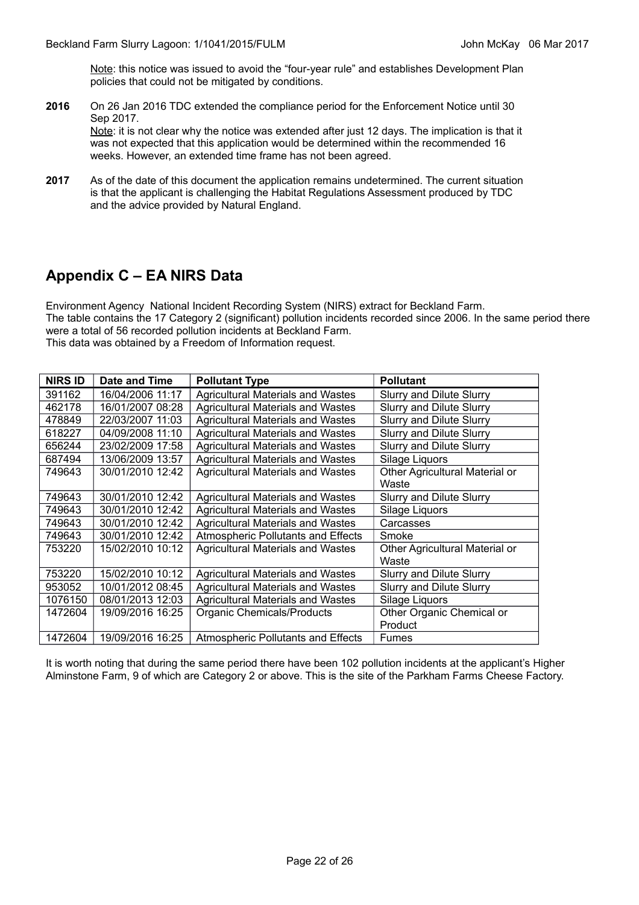Note: this notice was issued to avoid the "four-year rule" and establishes Development Plan policies that could not be mitigated by conditions.

- **2016** On 26 Jan 2016 TDC extended the compliance period for the Enforcement Notice until 30 Sep 2017. Note: it is not clear why the notice was extended after just 12 days. The implication is that it was not expected that this application would be determined within the recommended 16 weeks. However, an extended time frame has not been agreed.
- **2017** As of the date of this document the application remains undetermined. The current situation is that the applicant is challenging the Habitat Regulations Assessment produced by TDC and the advice provided by Natural England.

### <span id="page-21-0"></span>**Appendix C – EA NIRS Data**

Environment Agency National Incident Recording System (NIRS) extract for Beckland Farm. The table contains the 17 Category 2 (significant) pollution incidents recorded since 2006. In the same period there were a total of 56 recorded pollution incidents at Beckland Farm. This data was obtained by a Freedom of Information request.

| <b>NIRS ID</b> | Date and Time    | <b>Pollutant Type</b>                    | <b>Pollutant</b>                        |
|----------------|------------------|------------------------------------------|-----------------------------------------|
| 391162         | 16/04/2006 11:17 | Agricultural Materials and Wastes        | Slurry and Dilute Slurry                |
| 462178         | 16/01/2007 08:28 | <b>Agricultural Materials and Wastes</b> | <b>Slurry and Dilute Slurry</b>         |
| 478849         | 22/03/2007 11:03 | <b>Agricultural Materials and Wastes</b> | <b>Slurry and Dilute Slurry</b>         |
| 618227         | 04/09/2008 11:10 | <b>Agricultural Materials and Wastes</b> | <b>Slurry and Dilute Slurry</b>         |
| 656244         | 23/02/2009 17:58 | <b>Agricultural Materials and Wastes</b> | <b>Slurry and Dilute Slurry</b>         |
| 687494         | 13/06/2009 13:57 | <b>Agricultural Materials and Wastes</b> | Silage Liguors                          |
| 749643         | 30/01/2010 12:42 | <b>Agricultural Materials and Wastes</b> | Other Agricultural Material or<br>Waste |
| 749643         | 30/01/2010 12:42 | <b>Agricultural Materials and Wastes</b> | <b>Slurry and Dilute Slurry</b>         |
| 749643         | 30/01/2010 12:42 | <b>Agricultural Materials and Wastes</b> | Silage Liquors                          |
| 749643         | 30/01/2010 12:42 | <b>Agricultural Materials and Wastes</b> | Carcasses                               |
| 749643         | 30/01/2010 12:42 | Atmospheric Pollutants and Effects       | Smoke                                   |
| 753220         | 15/02/2010 10:12 | <b>Agricultural Materials and Wastes</b> | Other Agricultural Material or          |
|                |                  |                                          | Waste                                   |
| 753220         | 15/02/2010 10:12 | <b>Agricultural Materials and Wastes</b> | <b>Slurry and Dilute Slurry</b>         |
| 953052         | 10/01/2012 08:45 | <b>Agricultural Materials and Wastes</b> | Slurry and Dilute Slurry                |
| 1076150        | 08/01/2013 12:03 | <b>Agricultural Materials and Wastes</b> | Silage Liquors                          |
| 1472604        | 19/09/2016 16:25 | <b>Organic Chemicals/Products</b>        | Other Organic Chemical or               |
|                |                  |                                          | Product                                 |
| 1472604        | 19/09/2016 16:25 | Atmospheric Pollutants and Effects       | <b>Fumes</b>                            |

It is worth noting that during the same period there have been 102 pollution incidents at the applicant's Higher Alminstone Farm, 9 of which are Category 2 or above. This is the site of the Parkham Farms Cheese Factory.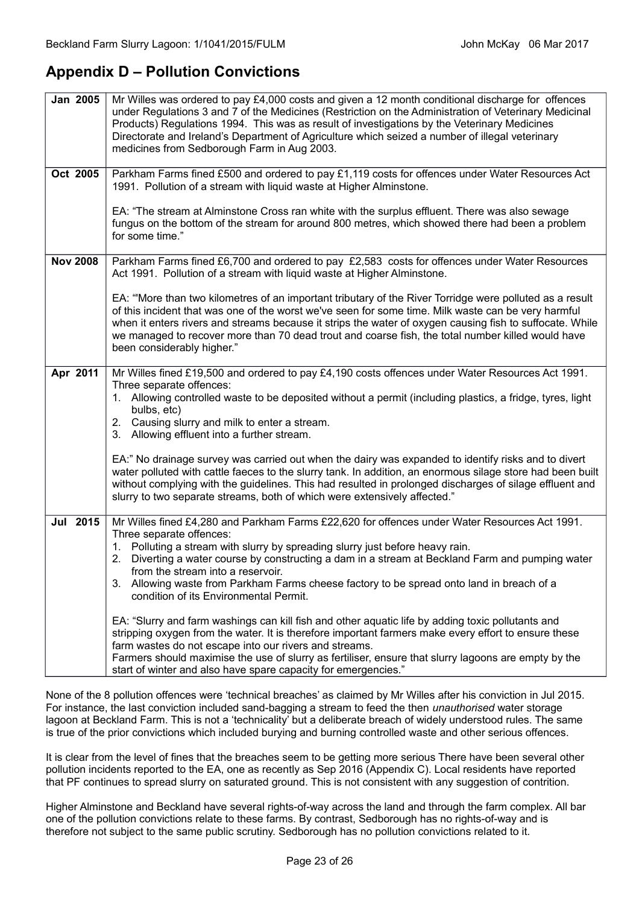## **Appendix D – Pollution Convictions**

| Jan 2005        | Mr Willes was ordered to pay £4,000 costs and given a 12 month conditional discharge for offences<br>under Regulations 3 and 7 of the Medicines (Restriction on the Administration of Veterinary Medicinal<br>Products) Regulations 1994. This was as result of investigations by the Veterinary Medicines<br>Directorate and Ireland's Department of Agriculture which seized a number of illegal veterinary<br>medicines from Sedborough Farm in Aug 2003.                                                                                                                                                                                                                                                                                                                                                                                                                                                                                   |
|-----------------|------------------------------------------------------------------------------------------------------------------------------------------------------------------------------------------------------------------------------------------------------------------------------------------------------------------------------------------------------------------------------------------------------------------------------------------------------------------------------------------------------------------------------------------------------------------------------------------------------------------------------------------------------------------------------------------------------------------------------------------------------------------------------------------------------------------------------------------------------------------------------------------------------------------------------------------------|
| Oct 2005        | Parkham Farms fined £500 and ordered to pay £1,119 costs for offences under Water Resources Act<br>1991. Pollution of a stream with liquid waste at Higher Alminstone.<br>EA: "The stream at Alminstone Cross ran white with the surplus effluent. There was also sewage<br>fungus on the bottom of the stream for around 800 metres, which showed there had been a problem<br>for some time."                                                                                                                                                                                                                                                                                                                                                                                                                                                                                                                                                 |
| <b>Nov 2008</b> | Parkham Farms fined £6,700 and ordered to pay £2,583 costs for offences under Water Resources<br>Act 1991. Pollution of a stream with liquid waste at Higher Alminstone.<br>EA: "More than two kilometres of an important tributary of the River Torridge were polluted as a result<br>of this incident that was one of the worst we've seen for some time. Milk waste can be very harmful<br>when it enters rivers and streams because it strips the water of oxygen causing fish to suffocate. While<br>we managed to recover more than 70 dead trout and coarse fish, the total number killed would have<br>been considerably higher."                                                                                                                                                                                                                                                                                                      |
| Apr 2011        | Mr Willes fined £19,500 and ordered to pay £4,190 costs offences under Water Resources Act 1991.<br>Three separate offences:<br>1. Allowing controlled waste to be deposited without a permit (including plastics, a fridge, tyres, light<br>bulbs, etc)<br>2. Causing slurry and milk to enter a stream.<br>Allowing effluent into a further stream.<br>3.<br>EA:" No drainage survey was carried out when the dairy was expanded to identify risks and to divert<br>water polluted with cattle faeces to the slurry tank. In addition, an enormous silage store had been built<br>without complying with the guidelines. This had resulted in prolonged discharges of silage effluent and<br>slurry to two separate streams, both of which were extensively affected."                                                                                                                                                                       |
| Jul 2015        | Mr Willes fined £4,280 and Parkham Farms £22,620 for offences under Water Resources Act 1991.<br>Three separate offences:<br>1. Polluting a stream with slurry by spreading slurry just before heavy rain.<br>2. Diverting a water course by constructing a dam in a stream at Beckland Farm and pumping water<br>from the stream into a reservoir.<br>Allowing waste from Parkham Farms cheese factory to be spread onto land in breach of a<br>3.<br>condition of its Environmental Permit.<br>EA: "Slurry and farm washings can kill fish and other aquatic life by adding toxic pollutants and<br>stripping oxygen from the water. It is therefore important farmers make every effort to ensure these<br>farm wastes do not escape into our rivers and streams.<br>Farmers should maximise the use of slurry as fertiliser, ensure that slurry lagoons are empty by the<br>start of winter and also have spare capacity for emergencies." |

None of the 8 pollution offences were 'technical breaches' as claimed by Mr Willes after his conviction in Jul 2015. For instance, the last conviction included sand-bagging a stream to feed the then *unauthorised* water storage lagoon at Beckland Farm. This is not a 'technicality' but a deliberate breach of widely understood rules. The same is true of the prior convictions which included burying and burning controlled waste and other serious offences.

It is clear from the level of fines that the breaches seem to be getting more serious There have been several other pollution incidents reported to the EA, one as recently as Sep 2016 (Appendix C). Local residents have reported that PF continues to spread slurry on saturated ground. This is not consistent with any suggestion of contrition.

Higher Alminstone and Beckland have several rights-of-way across the land and through the farm complex. All bar one of the pollution convictions relate to these farms. By contrast, Sedborough has no rights-of-way and is therefore not subject to the same public scrutiny. Sedborough has no pollution convictions related to it.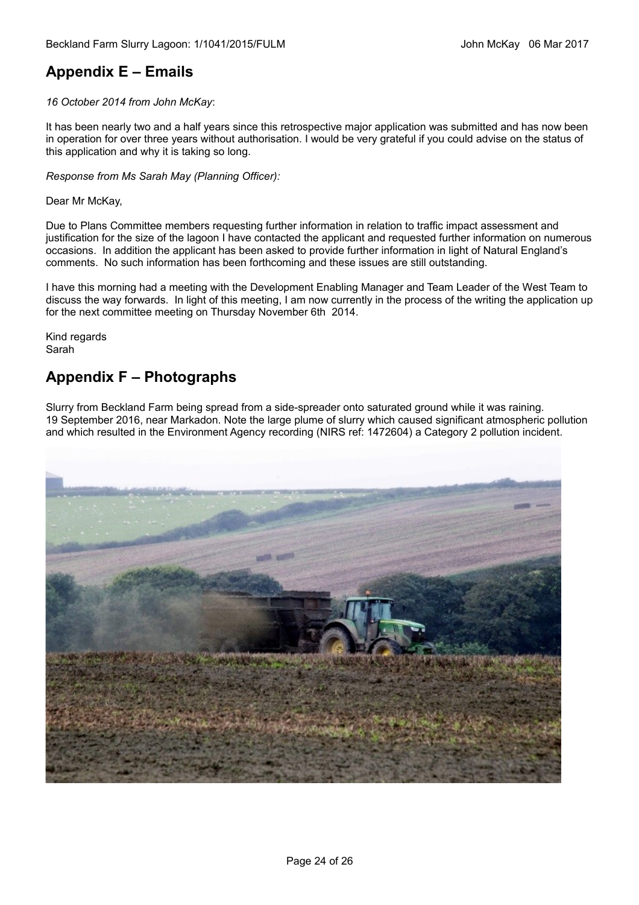### <span id="page-23-1"></span>**Appendix E – Emails**

#### *16 October 2014 from John McKay*:

It has been nearly two and a half years since this retrospective major application was submitted and has now been in operation for over three years without authorisation. I would be very grateful if you could advise on the status of this application and why it is taking so long.

*Response from Ms Sarah May (Planning Officer):*

Dear Mr McKay,

Due to Plans Committee members requesting further information in relation to traffic impact assessment and justification for the size of the lagoon I have contacted the applicant and requested further information on numerous occasions. In addition the applicant has been asked to provide further information in light of Natural England's comments. No such information has been forthcoming and these issues are still outstanding.

I have this morning had a meeting with the Development Enabling Manager and Team Leader of the West Team to discuss the way forwards. In light of this meeting, I am now currently in the process of the writing the application up for the next committee meeting on Thursday November 6th 2014.

Kind regards Sarah

# <span id="page-23-0"></span>**Appendix F – Photographs**

Slurry from Beckland Farm being spread from a side-spreader onto saturated ground while it was raining. 19 September 2016, near Markadon. Note the large plume of slurry which caused significant atmospheric pollution and which resulted in the Environment Agency recording (NIRS ref: 1472604) a Category 2 pollution incident.

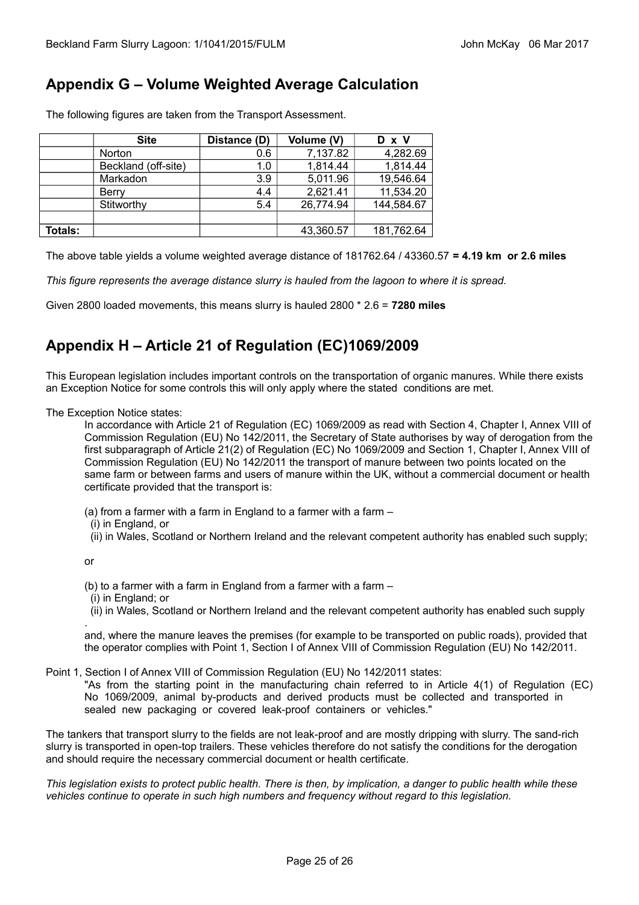# <span id="page-24-1"></span>**Appendix G – Volume Weighted Average Calculation**

|                | <b>Site</b>         | Distance (D) | Volume (V) | D x V      |
|----------------|---------------------|--------------|------------|------------|
|                | Norton              | 0.6          | 7,137.82   | 4,282.69   |
|                | Beckland (off-site) | 1.0          | 1,814.44   | 1,814.44   |
|                | Markadon            | 3.9          | 5,011.96   | 19,546.64  |
|                | Berry               | 4.4          | 2,621.41   | 11,534.20  |
|                | Stitworthy          | 5.4          | 26,774.94  | 144,584.67 |
|                |                     |              |            |            |
| <b>Totals:</b> |                     |              | 43,360.57  | 181,762.64 |

The following figures are taken from the Transport Assessment.

The above table yields a volume weighted average distance of 181762.64 / 43360.57 **= 4.19 km or 2.6 miles**

*This figure represents the average distance slurry is hauled from the lagoon to where it is spread.*

Given 2800 loaded movements, this means slurry is hauled 2800 \* 2.6 = **7280 miles**

# <span id="page-24-0"></span>**Appendix H – Article 21 of Regulation (EC)1069/2009**

This European legislation includes important controls on the transportation of organic manures. While there exists an Exception Notice for some controls this will only apply where the stated conditions are met.

#### The Exception Notice states:

In accordance with Article 21 of Regulation (EC) 1069/2009 as read with Section 4, Chapter I, Annex VIII of Commission Regulation (EU) No 142/2011, the Secretary of State authorises by way of derogation from the first subparagraph of Article 21(2) of Regulation (EC) No 1069/2009 and Section 1, Chapter I, Annex VIII of Commission Regulation (EU) No 142/2011 the transport of manure between two points located on the same farm or between farms and users of manure within the UK, without a commercial document or health certificate provided that the transport is:

- (a) from a farmer with a farm in England to a farmer with a farm –
- (i) in England, or

(ii) in Wales, Scotland or Northern Ireland and the relevant competent authority has enabled such supply;

or

- (b) to a farmer with a farm in England from a farmer with a farm –
- (i) in England; or
- (ii) in Wales, Scotland or Northern Ireland and the relevant competent authority has enabled such supply

. and, where the manure leaves the premises (for example to be transported on public roads), provided that the operator complies with Point 1, Section I of Annex VIII of Commission Regulation (EU) No 142/2011.

Point 1, Section I of Annex VIII of Commission Regulation (EU) No 142/2011 states:

"As from the starting point in the manufacturing chain referred to in Article 4(1) of Regulation (EC) No 1069/2009, animal by-products and derived products must be collected and transported in sealed new packaging or covered leak-proof containers or vehicles."

The tankers that transport slurry to the fields are not leak-proof and are mostly dripping with slurry. The sand-rich slurry is transported in open-top trailers. These vehicles therefore do not satisfy the conditions for the derogation and should require the necessary commercial document or health certificate.

*This legislation exists to protect public health. There is then, by implication, a danger to public health while these vehicles continue to operate in such high numbers and frequency without regard to this legislation.*